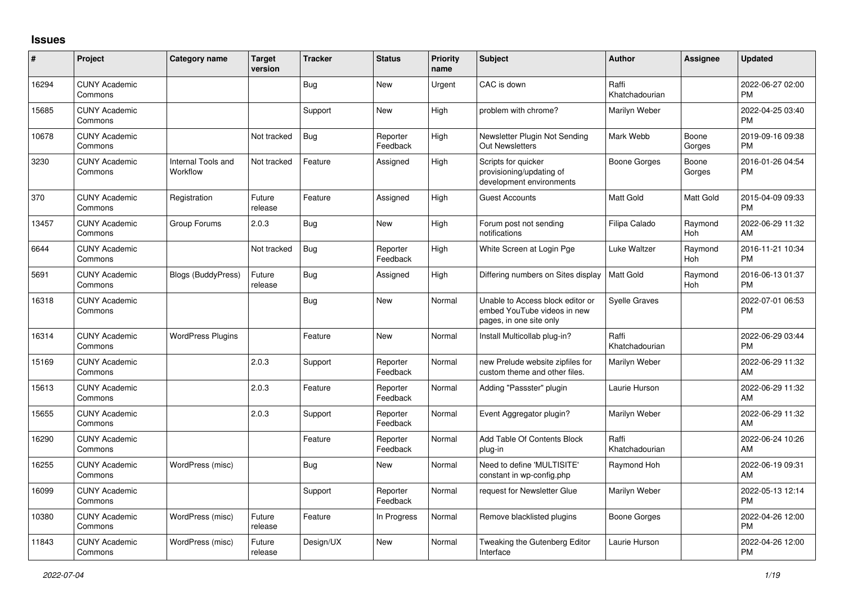## **Issues**

| $\vert$ # | Project                         | Category name                         | <b>Target</b><br>version | <b>Tracker</b> | <b>Status</b>        | <b>Priority</b><br>name | <b>Subject</b>                                                                             | <b>Author</b>           | Assignee        | <b>Updated</b>                |
|-----------|---------------------------------|---------------------------------------|--------------------------|----------------|----------------------|-------------------------|--------------------------------------------------------------------------------------------|-------------------------|-----------------|-------------------------------|
| 16294     | <b>CUNY Academic</b><br>Commons |                                       |                          | Bug            | <b>New</b>           | Urgent                  | CAC is down                                                                                | Raffi<br>Khatchadourian |                 | 2022-06-27 02:00<br><b>PM</b> |
| 15685     | <b>CUNY Academic</b><br>Commons |                                       |                          | Support        | <b>New</b>           | High                    | problem with chrome?                                                                       | Marilyn Weber           |                 | 2022-04-25 03:40<br><b>PM</b> |
| 10678     | <b>CUNY Academic</b><br>Commons |                                       | Not tracked              | <b>Bug</b>     | Reporter<br>Feedback | High                    | Newsletter Plugin Not Sending<br>Out Newsletters                                           | Mark Webb               | Boone<br>Gorges | 2019-09-16 09:38<br><b>PM</b> |
| 3230      | <b>CUNY Academic</b><br>Commons | <b>Internal Tools and</b><br>Workflow | Not tracked              | Feature        | Assigned             | High                    | Scripts for quicker<br>provisioning/updating of<br>development environments                | <b>Boone Gorges</b>     | Boone<br>Gorges | 2016-01-26 04:54<br><b>PM</b> |
| 370       | <b>CUNY Academic</b><br>Commons | Registration                          | Future<br>release        | Feature        | Assigned             | High                    | <b>Guest Accounts</b>                                                                      | <b>Matt Gold</b>        | Matt Gold       | 2015-04-09 09:33<br><b>PM</b> |
| 13457     | <b>CUNY Academic</b><br>Commons | Group Forums                          | 2.0.3                    | Bug            | <b>New</b>           | High                    | Forum post not sending<br>notifications                                                    | Filipa Calado           | Raymond<br>Hoh  | 2022-06-29 11:32<br>AM        |
| 6644      | <b>CUNY Academic</b><br>Commons |                                       | Not tracked              | Bug            | Reporter<br>Feedback | High                    | White Screen at Login Pge                                                                  | Luke Waltzer            | Raymond<br>Hoh  | 2016-11-21 10:34<br><b>PM</b> |
| 5691      | <b>CUNY Academic</b><br>Commons | <b>Blogs (BuddyPress)</b>             | Future<br>release        | <b>Bug</b>     | Assigned             | High                    | Differing numbers on Sites display                                                         | Matt Gold               | Raymond<br>Hoh  | 2016-06-13 01:37<br><b>PM</b> |
| 16318     | <b>CUNY Academic</b><br>Commons |                                       |                          | <b>Bug</b>     | <b>New</b>           | Normal                  | Unable to Access block editor or<br>embed YouTube videos in new<br>pages, in one site only | <b>Syelle Graves</b>    |                 | 2022-07-01 06:53<br><b>PM</b> |
| 16314     | <b>CUNY Academic</b><br>Commons | <b>WordPress Plugins</b>              |                          | Feature        | <b>New</b>           | Normal                  | Install Multicollab plug-in?                                                               | Raffi<br>Khatchadourian |                 | 2022-06-29 03:44<br><b>PM</b> |
| 15169     | <b>CUNY Academic</b><br>Commons |                                       | 2.0.3                    | Support        | Reporter<br>Feedback | Normal                  | new Prelude website zipfiles for<br>custom theme and other files.                          | Marilyn Weber           |                 | 2022-06-29 11:32<br>AM        |
| 15613     | <b>CUNY Academic</b><br>Commons |                                       | 2.0.3                    | Feature        | Reporter<br>Feedback | Normal                  | Adding "Passster" plugin                                                                   | Laurie Hurson           |                 | 2022-06-29 11:32<br>AM        |
| 15655     | <b>CUNY Academic</b><br>Commons |                                       | 2.0.3                    | Support        | Reporter<br>Feedback | Normal                  | Event Aggregator plugin?                                                                   | Marilyn Weber           |                 | 2022-06-29 11:32<br>AM        |
| 16290     | <b>CUNY Academic</b><br>Commons |                                       |                          | Feature        | Reporter<br>Feedback | Normal                  | Add Table Of Contents Block<br>plug-in                                                     | Raffi<br>Khatchadourian |                 | 2022-06-24 10:26<br>AM        |
| 16255     | <b>CUNY Academic</b><br>Commons | WordPress (misc)                      |                          | Bug            | <b>New</b>           | Normal                  | Need to define 'MULTISITE'<br>constant in wp-config.php                                    | Raymond Hoh             |                 | 2022-06-19 09:31<br>AM        |
| 16099     | <b>CUNY Academic</b><br>Commons |                                       |                          | Support        | Reporter<br>Feedback | Normal                  | request for Newsletter Glue                                                                | Marilyn Weber           |                 | 2022-05-13 12:14<br><b>PM</b> |
| 10380     | <b>CUNY Academic</b><br>Commons | WordPress (misc)                      | Future<br>release        | Feature        | In Progress          | Normal                  | Remove blacklisted plugins                                                                 | Boone Gorges            |                 | 2022-04-26 12:00<br><b>PM</b> |
| 11843     | <b>CUNY Academic</b><br>Commons | WordPress (misc)                      | Future<br>release        | Design/UX      | <b>New</b>           | Normal                  | Tweaking the Gutenberg Editor<br>Interface                                                 | Laurie Hurson           |                 | 2022-04-26 12:00<br><b>PM</b> |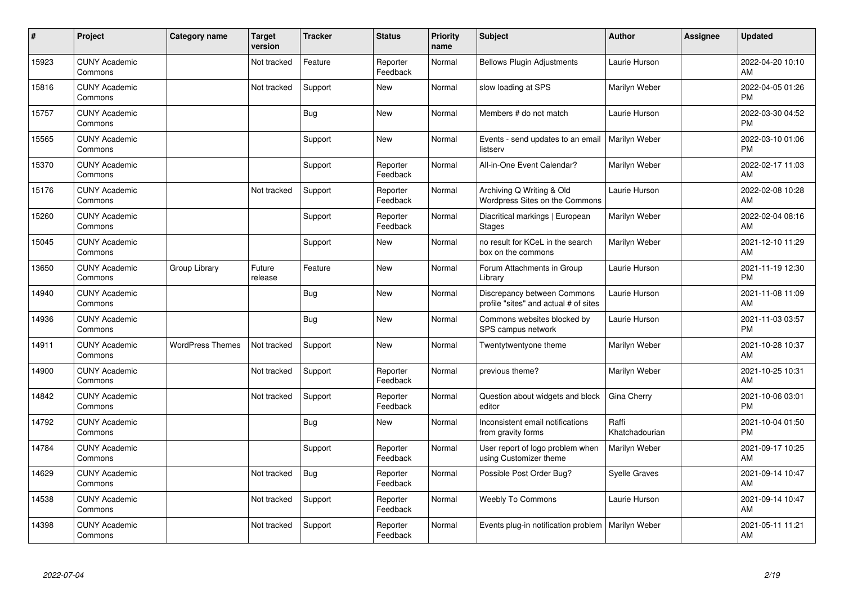| $\#$  | Project                         | <b>Category name</b>    | <b>Target</b><br>version | <b>Tracker</b> | <b>Status</b>        | <b>Priority</b><br>name | <b>Subject</b>                                                       | <b>Author</b>           | <b>Assignee</b> | <b>Updated</b>                |
|-------|---------------------------------|-------------------------|--------------------------|----------------|----------------------|-------------------------|----------------------------------------------------------------------|-------------------------|-----------------|-------------------------------|
| 15923 | <b>CUNY Academic</b><br>Commons |                         | Not tracked              | Feature        | Reporter<br>Feedback | Normal                  | <b>Bellows Plugin Adjustments</b>                                    | Laurie Hurson           |                 | 2022-04-20 10:10<br>AM        |
| 15816 | <b>CUNY Academic</b><br>Commons |                         | Not tracked              | Support        | <b>New</b>           | Normal                  | slow loading at SPS                                                  | Marilyn Weber           |                 | 2022-04-05 01:26<br><b>PM</b> |
| 15757 | <b>CUNY Academic</b><br>Commons |                         |                          | <b>Bug</b>     | <b>New</b>           | Normal                  | Members # do not match                                               | Laurie Hurson           |                 | 2022-03-30 04:52<br><b>PM</b> |
| 15565 | <b>CUNY Academic</b><br>Commons |                         |                          | Support        | <b>New</b>           | Normal                  | Events - send updates to an email<br>listserv                        | Marilyn Weber           |                 | 2022-03-10 01:06<br><b>PM</b> |
| 15370 | <b>CUNY Academic</b><br>Commons |                         |                          | Support        | Reporter<br>Feedback | Normal                  | All-in-One Event Calendar?                                           | Marilyn Weber           |                 | 2022-02-17 11:03<br>AM        |
| 15176 | <b>CUNY Academic</b><br>Commons |                         | Not tracked              | Support        | Reporter<br>Feedback | Normal                  | Archiving Q Writing & Old<br>Wordpress Sites on the Commons          | Laurie Hurson           |                 | 2022-02-08 10:28<br>AM        |
| 15260 | <b>CUNY Academic</b><br>Commons |                         |                          | Support        | Reporter<br>Feedback | Normal                  | Diacritical markings   European<br><b>Stages</b>                     | Marilyn Weber           |                 | 2022-02-04 08:16<br>AM        |
| 15045 | <b>CUNY Academic</b><br>Commons |                         |                          | Support        | <b>New</b>           | Normal                  | no result for KCeL in the search<br>box on the commons               | Marilyn Weber           |                 | 2021-12-10 11:29<br>AM        |
| 13650 | <b>CUNY Academic</b><br>Commons | Group Library           | Future<br>release        | Feature        | <b>New</b>           | Normal                  | Forum Attachments in Group<br>Library                                | Laurie Hurson           |                 | 2021-11-19 12:30<br><b>PM</b> |
| 14940 | <b>CUNY Academic</b><br>Commons |                         |                          | Bug            | <b>New</b>           | Normal                  | Discrepancy between Commons<br>profile "sites" and actual # of sites | Laurie Hurson           |                 | 2021-11-08 11:09<br>AM        |
| 14936 | <b>CUNY Academic</b><br>Commons |                         |                          | <b>Bug</b>     | <b>New</b>           | Normal                  | Commons websites blocked by<br>SPS campus network                    | Laurie Hurson           |                 | 2021-11-03 03:57<br><b>PM</b> |
| 14911 | <b>CUNY Academic</b><br>Commons | <b>WordPress Themes</b> | Not tracked              | Support        | <b>New</b>           | Normal                  | Twentytwentyone theme                                                | Marilyn Weber           |                 | 2021-10-28 10:37<br>AM        |
| 14900 | <b>CUNY Academic</b><br>Commons |                         | Not tracked              | Support        | Reporter<br>Feedback | Normal                  | previous theme?                                                      | Marilyn Weber           |                 | 2021-10-25 10:31<br>AM        |
| 14842 | <b>CUNY Academic</b><br>Commons |                         | Not tracked              | Support        | Reporter<br>Feedback | Normal                  | Question about widgets and block<br>editor                           | Gina Cherry             |                 | 2021-10-06 03:01<br><b>PM</b> |
| 14792 | <b>CUNY Academic</b><br>Commons |                         |                          | <b>Bug</b>     | <b>New</b>           | Normal                  | Inconsistent email notifications<br>from gravity forms               | Raffi<br>Khatchadourian |                 | 2021-10-04 01:50<br><b>PM</b> |
| 14784 | <b>CUNY Academic</b><br>Commons |                         |                          | Support        | Reporter<br>Feedback | Normal                  | User report of logo problem when<br>using Customizer theme           | Marilyn Weber           |                 | 2021-09-17 10:25<br>AM        |
| 14629 | <b>CUNY Academic</b><br>Commons |                         | Not tracked              | <b>Bug</b>     | Reporter<br>Feedback | Normal                  | Possible Post Order Bug?                                             | <b>Syelle Graves</b>    |                 | 2021-09-14 10:47<br>AM        |
| 14538 | <b>CUNY Academic</b><br>Commons |                         | Not tracked              | Support        | Reporter<br>Feedback | Normal                  | Weebly To Commons                                                    | Laurie Hurson           |                 | 2021-09-14 10:47<br>AM        |
| 14398 | <b>CUNY Academic</b><br>Commons |                         | Not tracked              | Support        | Reporter<br>Feedback | Normal                  | Events plug-in notification problem                                  | Marilyn Weber           |                 | 2021-05-11 11:21<br>AM        |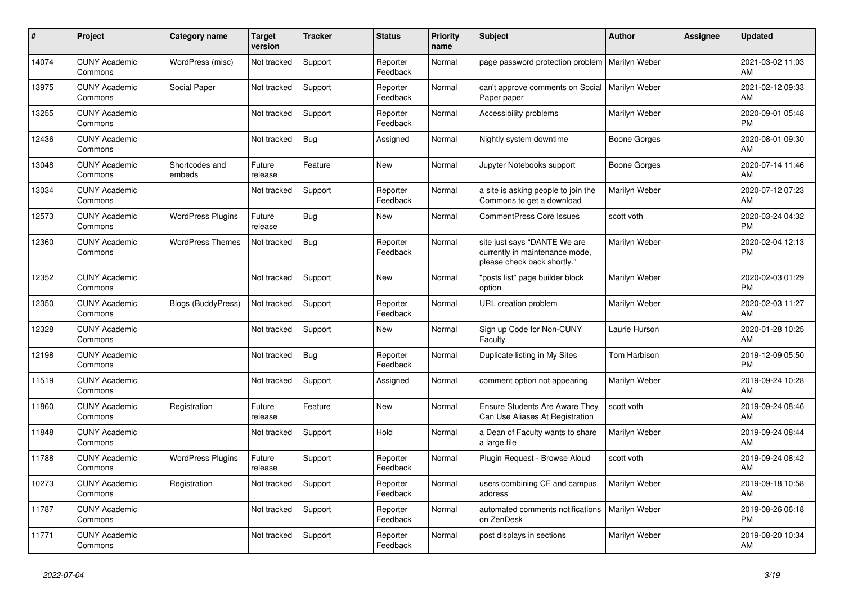| #     | Project                         | <b>Category name</b>      | <b>Target</b><br>version | <b>Tracker</b> | <b>Status</b>        | <b>Priority</b><br>name | <b>Subject</b>                                                                                | <b>Author</b>       | <b>Assignee</b> | <b>Updated</b>                |
|-------|---------------------------------|---------------------------|--------------------------|----------------|----------------------|-------------------------|-----------------------------------------------------------------------------------------------|---------------------|-----------------|-------------------------------|
| 14074 | <b>CUNY Academic</b><br>Commons | WordPress (misc)          | Not tracked              | Support        | Reporter<br>Feedback | Normal                  | page password protection problem                                                              | Marilyn Weber       |                 | 2021-03-02 11:03<br>AM        |
| 13975 | <b>CUNY Academic</b><br>Commons | Social Paper              | Not tracked              | Support        | Reporter<br>Feedback | Normal                  | can't approve comments on Social<br>Paper paper                                               | Marilyn Weber       |                 | 2021-02-12 09:33<br>AM        |
| 13255 | <b>CUNY Academic</b><br>Commons |                           | Not tracked              | Support        | Reporter<br>Feedback | Normal                  | Accessibility problems                                                                        | Marilyn Weber       |                 | 2020-09-01 05:48<br><b>PM</b> |
| 12436 | <b>CUNY Academic</b><br>Commons |                           | Not tracked              | <b>Bug</b>     | Assigned             | Normal                  | Nightly system downtime                                                                       | <b>Boone Gorges</b> |                 | 2020-08-01 09:30<br>AM        |
| 13048 | <b>CUNY Academic</b><br>Commons | Shortcodes and<br>embeds  | Future<br>release        | Feature        | New                  | Normal                  | Jupyter Notebooks support                                                                     | Boone Gorges        |                 | 2020-07-14 11:46<br>AM        |
| 13034 | <b>CUNY Academic</b><br>Commons |                           | Not tracked              | Support        | Reporter<br>Feedback | Normal                  | a site is asking people to join the<br>Commons to get a download                              | Marilyn Weber       |                 | 2020-07-12 07:23<br>AM        |
| 12573 | <b>CUNY Academic</b><br>Commons | <b>WordPress Plugins</b>  | Future<br>release        | Bug            | <b>New</b>           | Normal                  | <b>CommentPress Core Issues</b>                                                               | scott voth          |                 | 2020-03-24 04:32<br><b>PM</b> |
| 12360 | <b>CUNY Academic</b><br>Commons | <b>WordPress Themes</b>   | Not tracked              | Bug            | Reporter<br>Feedback | Normal                  | site just says "DANTE We are<br>currently in maintenance mode,<br>please check back shortly." | Marilyn Weber       |                 | 2020-02-04 12:13<br><b>PM</b> |
| 12352 | <b>CUNY Academic</b><br>Commons |                           | Not tracked              | Support        | <b>New</b>           | Normal                  | "posts list" page builder block<br>option                                                     | Marilyn Weber       |                 | 2020-02-03 01:29<br><b>PM</b> |
| 12350 | <b>CUNY Academic</b><br>Commons | <b>Blogs (BuddyPress)</b> | Not tracked              | Support        | Reporter<br>Feedback | Normal                  | URL creation problem                                                                          | Marilyn Weber       |                 | 2020-02-03 11:27<br><b>AM</b> |
| 12328 | <b>CUNY Academic</b><br>Commons |                           | Not tracked              | Support        | New                  | Normal                  | Sign up Code for Non-CUNY<br>Faculty                                                          | Laurie Hurson       |                 | 2020-01-28 10:25<br>AM        |
| 12198 | <b>CUNY Academic</b><br>Commons |                           | Not tracked              | Bug            | Reporter<br>Feedback | Normal                  | Duplicate listing in My Sites                                                                 | Tom Harbison        |                 | 2019-12-09 05:50<br><b>PM</b> |
| 11519 | <b>CUNY Academic</b><br>Commons |                           | Not tracked              | Support        | Assigned             | Normal                  | comment option not appearing                                                                  | Marilyn Weber       |                 | 2019-09-24 10:28<br>AM        |
| 11860 | <b>CUNY Academic</b><br>Commons | Registration              | Future<br>release        | Feature        | New                  | Normal                  | <b>Ensure Students Are Aware They</b><br>Can Use Aliases At Registration                      | scott voth          |                 | 2019-09-24 08:46<br>AM        |
| 11848 | <b>CUNY Academic</b><br>Commons |                           | Not tracked              | Support        | Hold                 | Normal                  | a Dean of Faculty wants to share<br>a large file                                              | Marilyn Weber       |                 | 2019-09-24 08:44<br><b>AM</b> |
| 11788 | <b>CUNY Academic</b><br>Commons | <b>WordPress Plugins</b>  | Future<br>release        | Support        | Reporter<br>Feedback | Normal                  | Plugin Request - Browse Aloud                                                                 | scott voth          |                 | 2019-09-24 08:42<br>AM        |
| 10273 | <b>CUNY Academic</b><br>Commons | Registration              | Not tracked              | Support        | Reporter<br>Feedback | Normal                  | users combining CF and campus<br>address                                                      | Marilyn Weber       |                 | 2019-09-18 10:58<br>AM        |
| 11787 | <b>CUNY Academic</b><br>Commons |                           | Not tracked              | Support        | Reporter<br>Feedback | Normal                  | automated comments notifications<br>on ZenDesk                                                | Marilyn Weber       |                 | 2019-08-26 06:18<br><b>PM</b> |
| 11771 | <b>CUNY Academic</b><br>Commons |                           | Not tracked              | Support        | Reporter<br>Feedback | Normal                  | post displays in sections                                                                     | Marilyn Weber       |                 | 2019-08-20 10:34<br>AM        |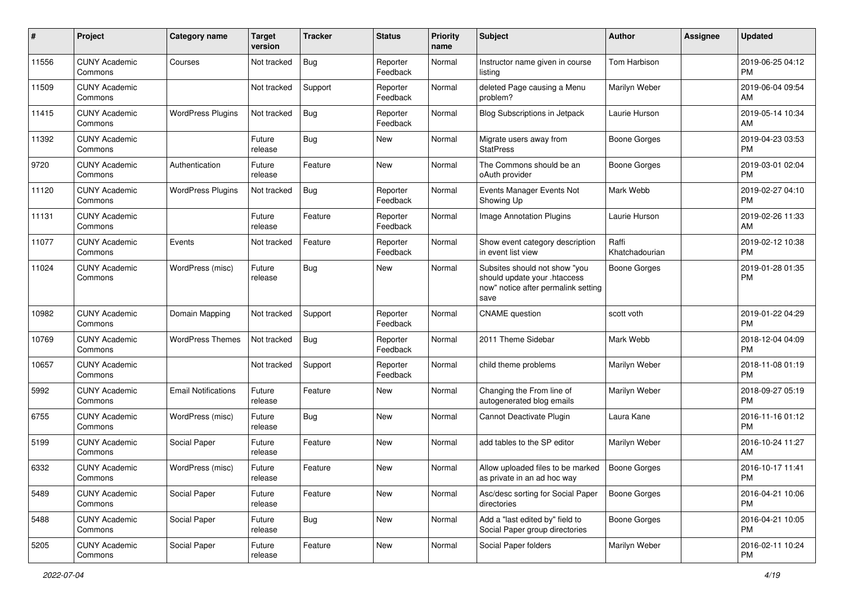| #     | Project                         | <b>Category name</b>       | <b>Target</b><br>version | <b>Tracker</b> | <b>Status</b>        | Priority<br>name | <b>Subject</b>                                                                                               | <b>Author</b>           | <b>Assignee</b> | <b>Updated</b>                |
|-------|---------------------------------|----------------------------|--------------------------|----------------|----------------------|------------------|--------------------------------------------------------------------------------------------------------------|-------------------------|-----------------|-------------------------------|
| 11556 | <b>CUNY Academic</b><br>Commons | Courses                    | Not tracked              | Bug            | Reporter<br>Feedback | Normal           | Instructor name given in course<br>listing                                                                   | Tom Harbison            |                 | 2019-06-25 04:12<br>PM.       |
| 11509 | <b>CUNY Academic</b><br>Commons |                            | Not tracked              | Support        | Reporter<br>Feedback | Normal           | deleted Page causing a Menu<br>problem?                                                                      | Marilyn Weber           |                 | 2019-06-04 09:54<br><b>AM</b> |
| 11415 | <b>CUNY Academic</b><br>Commons | <b>WordPress Plugins</b>   | Not tracked              | Bug            | Reporter<br>Feedback | Normal           | Blog Subscriptions in Jetpack                                                                                | Laurie Hurson           |                 | 2019-05-14 10:34<br>AM        |
| 11392 | <b>CUNY Academic</b><br>Commons |                            | Future<br>release        | Bug            | New                  | Normal           | Migrate users away from<br><b>StatPress</b>                                                                  | Boone Gorges            |                 | 2019-04-23 03:53<br><b>PM</b> |
| 9720  | <b>CUNY Academic</b><br>Commons | Authentication             | Future<br>release        | Feature        | <b>New</b>           | Normal           | The Commons should be an<br>oAuth provider                                                                   | Boone Gorges            |                 | 2019-03-01 02:04<br><b>PM</b> |
| 11120 | <b>CUNY Academic</b><br>Commons | <b>WordPress Plugins</b>   | Not tracked              | Bug            | Reporter<br>Feedback | Normal           | Events Manager Events Not<br>Showing Up                                                                      | Mark Webb               |                 | 2019-02-27 04:10<br><b>PM</b> |
| 11131 | <b>CUNY Academic</b><br>Commons |                            | Future<br>release        | Feature        | Reporter<br>Feedback | Normal           | Image Annotation Plugins                                                                                     | Laurie Hurson           |                 | 2019-02-26 11:33<br>AM        |
| 11077 | <b>CUNY Academic</b><br>Commons | Events                     | Not tracked              | Feature        | Reporter<br>Feedback | Normal           | Show event category description<br>in event list view                                                        | Raffi<br>Khatchadourian |                 | 2019-02-12 10:38<br><b>PM</b> |
| 11024 | <b>CUNY Academic</b><br>Commons | WordPress (misc)           | Future<br>release        | <b>Bug</b>     | New                  | Normal           | Subsites should not show "you<br>should update your .htaccess<br>now" notice after permalink setting<br>save | Boone Gorges            |                 | 2019-01-28 01:35<br><b>PM</b> |
| 10982 | <b>CUNY Academic</b><br>Commons | Domain Mapping             | Not tracked              | Support        | Reporter<br>Feedback | Normal           | <b>CNAME</b> question                                                                                        | scott voth              |                 | 2019-01-22 04:29<br><b>PM</b> |
| 10769 | <b>CUNY Academic</b><br>Commons | <b>WordPress Themes</b>    | Not tracked              | Bug            | Reporter<br>Feedback | Normal           | 2011 Theme Sidebar                                                                                           | Mark Webb               |                 | 2018-12-04 04:09<br><b>PM</b> |
| 10657 | <b>CUNY Academic</b><br>Commons |                            | Not tracked              | Support        | Reporter<br>Feedback | Normal           | child theme problems                                                                                         | Marilyn Weber           |                 | 2018-11-08 01:19<br><b>PM</b> |
| 5992  | <b>CUNY Academic</b><br>Commons | <b>Email Notifications</b> | Future<br>release        | Feature        | New                  | Normal           | Changing the From line of<br>autogenerated blog emails                                                       | Marilyn Weber           |                 | 2018-09-27 05:19<br><b>PM</b> |
| 6755  | <b>CUNY Academic</b><br>Commons | WordPress (misc)           | Future<br>release        | Bug            | New                  | Normal           | Cannot Deactivate Plugin                                                                                     | Laura Kane              |                 | 2016-11-16 01:12<br><b>PM</b> |
| 5199  | <b>CUNY Academic</b><br>Commons | Social Paper               | Future<br>release        | Feature        | New                  | Normal           | add tables to the SP editor                                                                                  | Marilyn Weber           |                 | 2016-10-24 11:27<br>AM        |
| 6332  | <b>CUNY Academic</b><br>Commons | WordPress (misc)           | Future<br>release        | Feature        | New                  | Normal           | Allow uploaded files to be marked<br>as private in an ad hoc way                                             | Boone Gorges            |                 | 2016-10-17 11:41<br>PM        |
| 5489  | <b>CUNY Academic</b><br>Commons | Social Paper               | Future<br>release        | Feature        | New                  | Normal           | Asc/desc sorting for Social Paper<br>directories                                                             | <b>Boone Gorges</b>     |                 | 2016-04-21 10:06<br>PM.       |
| 5488  | <b>CUNY Academic</b><br>Commons | Social Paper               | Future<br>release        | <b>Bug</b>     | New                  | Normal           | Add a "last edited by" field to<br>Social Paper group directories                                            | Boone Gorges            |                 | 2016-04-21 10:05<br><b>PM</b> |
| 5205  | <b>CUNY Academic</b><br>Commons | Social Paper               | Future<br>release        | Feature        | New                  | Normal           | Social Paper folders                                                                                         | Marilyn Weber           |                 | 2016-02-11 10:24<br><b>PM</b> |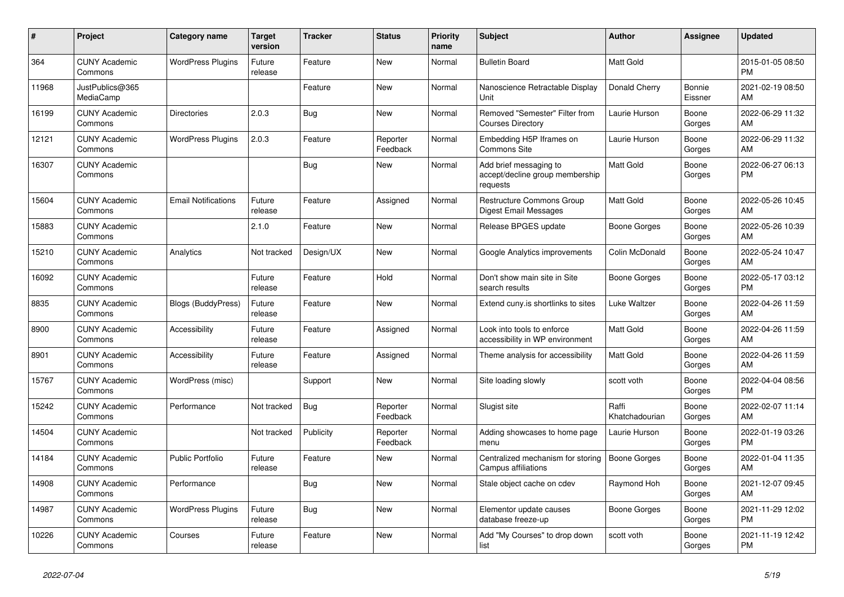| #     | Project                         | <b>Category name</b>       | Target<br>version | <b>Tracker</b> | <b>Status</b>        | <b>Priority</b><br>name | <b>Subject</b>                                                        | <b>Author</b>           | <b>Assignee</b>   | <b>Updated</b>                |
|-------|---------------------------------|----------------------------|-------------------|----------------|----------------------|-------------------------|-----------------------------------------------------------------------|-------------------------|-------------------|-------------------------------|
| 364   | <b>CUNY Academic</b><br>Commons | <b>WordPress Plugins</b>   | Future<br>release | Feature        | New                  | Normal                  | <b>Bulletin Board</b>                                                 | Matt Gold               |                   | 2015-01-05 08:50<br><b>PM</b> |
| 11968 | JustPublics@365<br>MediaCamp    |                            |                   | Feature        | New                  | Normal                  | Nanoscience Retractable Display<br>Unit                               | Donald Cherry           | Bonnie<br>Eissner | 2021-02-19 08:50<br>AM        |
| 16199 | <b>CUNY Academic</b><br>Commons | <b>Directories</b>         | 2.0.3             | <b>Bug</b>     | New                  | Normal                  | Removed "Semester" Filter from<br><b>Courses Directory</b>            | Laurie Hurson           | Boone<br>Gorges   | 2022-06-29 11:32<br>AM        |
| 12121 | <b>CUNY Academic</b><br>Commons | <b>WordPress Plugins</b>   | 2.0.3             | Feature        | Reporter<br>Feedback | Normal                  | Embedding H5P Iframes on<br><b>Commons Site</b>                       | Laurie Hurson           | Boone<br>Gorges   | 2022-06-29 11:32<br>AM        |
| 16307 | <b>CUNY Academic</b><br>Commons |                            |                   | Bug            | New                  | Normal                  | Add brief messaging to<br>accept/decline group membership<br>requests | <b>Matt Gold</b>        | Boone<br>Gorges   | 2022-06-27 06:13<br><b>PM</b> |
| 15604 | <b>CUNY Academic</b><br>Commons | <b>Email Notifications</b> | Future<br>release | Feature        | Assigned             | Normal                  | <b>Restructure Commons Group</b><br>Digest Email Messages             | <b>Matt Gold</b>        | Boone<br>Gorges   | 2022-05-26 10:45<br>AM        |
| 15883 | <b>CUNY Academic</b><br>Commons |                            | 2.1.0             | Feature        | New                  | Normal                  | Release BPGES update                                                  | Boone Gorges            | Boone<br>Gorges   | 2022-05-26 10:39<br>AM        |
| 15210 | <b>CUNY Academic</b><br>Commons | Analytics                  | Not tracked       | Design/UX      | <b>New</b>           | Normal                  | Google Analytics improvements                                         | Colin McDonald          | Boone<br>Gorges   | 2022-05-24 10:47<br>AM        |
| 16092 | <b>CUNY Academic</b><br>Commons |                            | Future<br>release | Feature        | Hold                 | Normal                  | Don't show main site in Site<br>search results                        | Boone Gorges            | Boone<br>Gorges   | 2022-05-17 03:12<br><b>PM</b> |
| 8835  | <b>CUNY Academic</b><br>Commons | <b>Blogs (BuddyPress)</b>  | Future<br>release | Feature        | New                  | Normal                  | Extend cuny.is shortlinks to sites                                    | Luke Waltzer            | Boone<br>Gorges   | 2022-04-26 11:59<br>AM        |
| 8900  | <b>CUNY Academic</b><br>Commons | Accessibility              | Future<br>release | Feature        | Assigned             | Normal                  | Look into tools to enforce<br>accessibility in WP environment         | Matt Gold               | Boone<br>Gorges   | 2022-04-26 11:59<br>AM        |
| 8901  | <b>CUNY Academic</b><br>Commons | Accessibility              | Future<br>release | Feature        | Assigned             | Normal                  | Theme analysis for accessibility                                      | <b>Matt Gold</b>        | Boone<br>Gorges   | 2022-04-26 11:59<br>AM        |
| 15767 | <b>CUNY Academic</b><br>Commons | WordPress (misc)           |                   | Support        | <b>New</b>           | Normal                  | Site loading slowly                                                   | scott voth              | Boone<br>Gorges   | 2022-04-04 08:56<br><b>PM</b> |
| 15242 | <b>CUNY Academic</b><br>Commons | Performance                | Not tracked       | <b>Bug</b>     | Reporter<br>Feedback | Normal                  | Slugist site                                                          | Raffi<br>Khatchadourian | Boone<br>Gorges   | 2022-02-07 11:14<br>AM        |
| 14504 | <b>CUNY Academic</b><br>Commons |                            | Not tracked       | Publicity      | Reporter<br>Feedback | Normal                  | Adding showcases to home page<br>menu                                 | Laurie Hurson           | Boone<br>Gorges   | 2022-01-19 03:26<br><b>PM</b> |
| 14184 | <b>CUNY Academic</b><br>Commons | <b>Public Portfolio</b>    | Future<br>release | Feature        | <b>New</b>           | Normal                  | Centralized mechanism for storing<br>Campus affiliations              | <b>Boone Gorges</b>     | Boone<br>Gorges   | 2022-01-04 11:35<br>AM        |
| 14908 | <b>CUNY Academic</b><br>Commons | Performance                |                   | Bug            | <b>New</b>           | Normal                  | Stale object cache on cdev                                            | Raymond Hoh             | Boone<br>Gorges   | 2021-12-07 09:45<br>AM        |
| 14987 | <b>CUNY Academic</b><br>Commons | <b>WordPress Plugins</b>   | Future<br>release | Bug            | New                  | Normal                  | Elementor update causes<br>database freeze-up                         | Boone Gorges            | Boone<br>Gorges   | 2021-11-29 12:02<br><b>PM</b> |
| 10226 | <b>CUNY Academic</b><br>Commons | Courses                    | Future<br>release | Feature        | <b>New</b>           | Normal                  | Add "My Courses" to drop down<br>list                                 | scott voth              | Boone<br>Gorges   | 2021-11-19 12:42<br><b>PM</b> |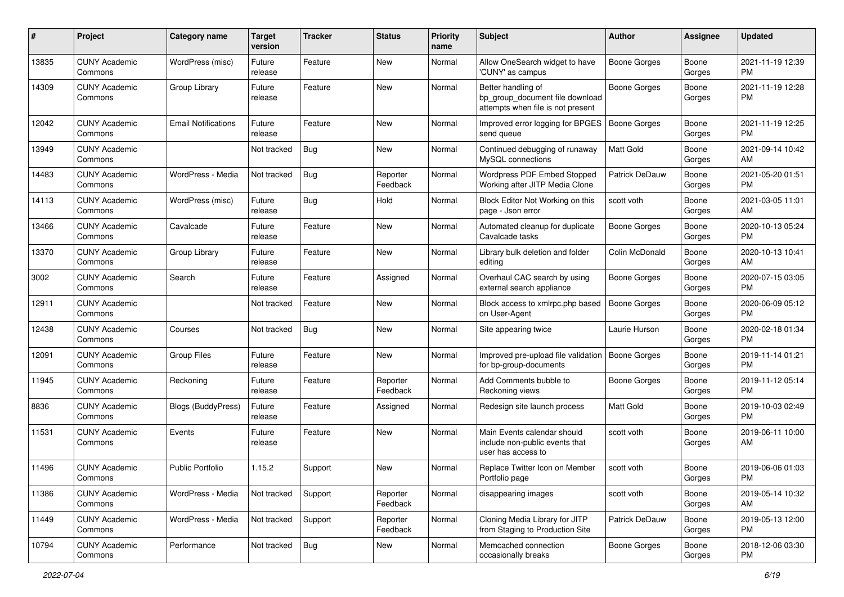| #     | Project                         | <b>Category name</b>       | <b>Target</b><br>version | <b>Tracker</b> | <b>Status</b>        | <b>Priority</b><br>name | Subject                                                                                    | Author              | Assignee        | <b>Updated</b>                |
|-------|---------------------------------|----------------------------|--------------------------|----------------|----------------------|-------------------------|--------------------------------------------------------------------------------------------|---------------------|-----------------|-------------------------------|
| 13835 | <b>CUNY Academic</b><br>Commons | WordPress (misc)           | Future<br>release        | Feature        | <b>New</b>           | Normal                  | Allow OneSearch widget to have<br>'CUNY' as campus                                         | <b>Boone Gorges</b> | Boone<br>Gorges | 2021-11-19 12:39<br>PM.       |
| 14309 | <b>CUNY Academic</b><br>Commons | Group Library              | Future<br>release        | Feature        | New                  | Normal                  | Better handling of<br>bp_group_document file download<br>attempts when file is not present | <b>Boone Gorges</b> | Boone<br>Gorges | 2021-11-19 12:28<br><b>PM</b> |
| 12042 | <b>CUNY Academic</b><br>Commons | <b>Email Notifications</b> | Future<br>release        | Feature        | New                  | Normal                  | Improved error logging for BPGES<br>send queue                                             | Boone Gorges        | Boone<br>Gorges | 2021-11-19 12:25<br><b>PM</b> |
| 13949 | <b>CUNY Academic</b><br>Commons |                            | Not tracked              | Bug            | New                  | Normal                  | Continued debugging of runaway<br>MySQL connections                                        | <b>Matt Gold</b>    | Boone<br>Gorges | 2021-09-14 10:42<br>AM        |
| 14483 | <b>CUNY Academic</b><br>Commons | WordPress - Media          | Not tracked              | Bug            | Reporter<br>Feedback | Normal                  | Wordpress PDF Embed Stopped<br>Working after JITP Media Clone                              | Patrick DeDauw      | Boone<br>Gorges | 2021-05-20 01:51<br><b>PM</b> |
| 14113 | <b>CUNY Academic</b><br>Commons | WordPress (misc)           | Future<br>release        | Bug            | Hold                 | Normal                  | Block Editor Not Working on this<br>page - Json error                                      | scott voth          | Boone<br>Gorges | 2021-03-05 11:01<br>AM        |
| 13466 | <b>CUNY Academic</b><br>Commons | Cavalcade                  | Future<br>release        | Feature        | New                  | Normal                  | Automated cleanup for duplicate<br>Cavalcade tasks                                         | <b>Boone Gorges</b> | Boone<br>Gorges | 2020-10-13 05:24<br><b>PM</b> |
| 13370 | <b>CUNY Academic</b><br>Commons | Group Library              | Future<br>release        | Feature        | New                  | Normal                  | Library bulk deletion and folder<br>editing                                                | Colin McDonald      | Boone<br>Gorges | 2020-10-13 10:41<br>AM        |
| 3002  | <b>CUNY Academic</b><br>Commons | Search                     | Future<br>release        | Feature        | Assigned             | Normal                  | Overhaul CAC search by using<br>external search appliance                                  | <b>Boone Gorges</b> | Boone<br>Gorges | 2020-07-15 03:05<br>PM.       |
| 12911 | <b>CUNY Academic</b><br>Commons |                            | Not tracked              | Feature        | New                  | Normal                  | Block access to xmlrpc.php based<br>on User-Agent                                          | <b>Boone Gorges</b> | Boone<br>Gorges | 2020-06-09 05:12<br><b>PM</b> |
| 12438 | <b>CUNY Academic</b><br>Commons | Courses                    | Not tracked              | Bug            | <b>New</b>           | Normal                  | Site appearing twice                                                                       | Laurie Hurson       | Boone<br>Gorges | 2020-02-18 01:34<br><b>PM</b> |
| 12091 | <b>CUNY Academic</b><br>Commons | <b>Group Files</b>         | Future<br>release        | Feature        | <b>New</b>           | Normal                  | Improved pre-upload file validation<br>for bp-group-documents                              | Boone Gorges        | Boone<br>Gorges | 2019-11-14 01:21<br><b>PM</b> |
| 11945 | <b>CUNY Academic</b><br>Commons | Reckoning                  | Future<br>release        | Feature        | Reporter<br>Feedback | Normal                  | Add Comments bubble to<br>Reckoning views                                                  | Boone Gorges        | Boone<br>Gorges | 2019-11-12 05:14<br><b>PM</b> |
| 8836  | <b>CUNY Academic</b><br>Commons | <b>Blogs (BuddyPress)</b>  | Future<br>release        | Feature        | Assigned             | Normal                  | Redesign site launch process                                                               | <b>Matt Gold</b>    | Boone<br>Gorges | 2019-10-03 02:49<br><b>PM</b> |
| 11531 | <b>CUNY Academic</b><br>Commons | Events                     | Future<br>release        | Feature        | New                  | Normal                  | Main Events calendar should<br>include non-public events that<br>user has access to        | scott voth          | Boone<br>Gorges | 2019-06-11 10:00<br>AM        |
| 11496 | <b>CUNY Academic</b><br>Commons | <b>Public Portfolio</b>    | 1.15.2                   | Support        | New                  | Normal                  | Replace Twitter Icon on Member<br>Portfolio page                                           | scott voth          | Boone<br>Gorges | 2019-06-06 01:03<br>PM        |
| 11386 | <b>CUNY Academic</b><br>Commons | WordPress - Media          | Not tracked              | Support        | Reporter<br>Feedback | Normal                  | disappearing images                                                                        | scott voth          | Boone<br>Gorges | 2019-05-14 10:32<br>AM        |
| 11449 | <b>CUNY Academic</b><br>Commons | WordPress - Media          | Not tracked              | Support        | Reporter<br>Feedback | Normal                  | Cloning Media Library for JITP<br>from Staging to Production Site                          | Patrick DeDauw      | Boone<br>Gorges | 2019-05-13 12:00<br><b>PM</b> |
| 10794 | <b>CUNY Academic</b><br>Commons | Performance                | Not tracked              | Bug            | New                  | Normal                  | Memcached connection<br>occasionally breaks                                                | Boone Gorges        | Boone<br>Gorges | 2018-12-06 03:30<br>PM        |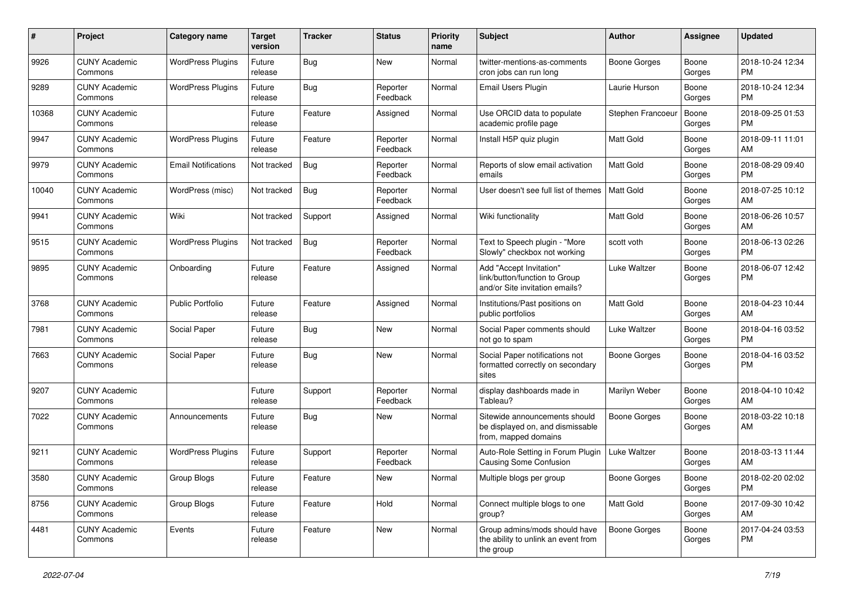| #     | Project                         | <b>Category name</b>       | <b>Target</b><br>version | <b>Tracker</b> | <b>Status</b>        | <b>Priority</b><br>name | Subject                                                                                    | <b>Author</b>       | <b>Assignee</b> | <b>Updated</b>                |
|-------|---------------------------------|----------------------------|--------------------------|----------------|----------------------|-------------------------|--------------------------------------------------------------------------------------------|---------------------|-----------------|-------------------------------|
| 9926  | <b>CUNY Academic</b><br>Commons | <b>WordPress Plugins</b>   | Future<br>release        | Bug            | <b>New</b>           | Normal                  | twitter-mentions-as-comments<br>cron jobs can run long                                     | <b>Boone Gorges</b> | Boone<br>Gorges | 2018-10-24 12:34<br><b>PM</b> |
| 9289  | <b>CUNY Academic</b><br>Commons | <b>WordPress Plugins</b>   | Future<br>release        | Bug            | Reporter<br>Feedback | Normal                  | Email Users Plugin                                                                         | Laurie Hurson       | Boone<br>Gorges | 2018-10-24 12:34<br><b>PM</b> |
| 10368 | <b>CUNY Academic</b><br>Commons |                            | Future<br>release        | Feature        | Assigned             | Normal                  | Use ORCID data to populate<br>academic profile page                                        | Stephen Francoeur   | Boone<br>Gorges | 2018-09-25 01:53<br><b>PM</b> |
| 9947  | <b>CUNY Academic</b><br>Commons | <b>WordPress Plugins</b>   | Future<br>release        | Feature        | Reporter<br>Feedback | Normal                  | Install H5P quiz plugin                                                                    | Matt Gold           | Boone<br>Gorges | 2018-09-11 11:01<br>AM        |
| 9979  | <b>CUNY Academic</b><br>Commons | <b>Email Notifications</b> | Not tracked              | Bug            | Reporter<br>Feedback | Normal                  | Reports of slow email activation<br>emails                                                 | <b>Matt Gold</b>    | Boone<br>Gorges | 2018-08-29 09:40<br><b>PM</b> |
| 10040 | <b>CUNY Academic</b><br>Commons | WordPress (misc)           | Not tracked              | Bug            | Reporter<br>Feedback | Normal                  | User doesn't see full list of themes                                                       | Matt Gold           | Boone<br>Gorges | 2018-07-25 10:12<br>AM        |
| 9941  | <b>CUNY Academic</b><br>Commons | Wiki                       | Not tracked              | Support        | Assigned             | Normal                  | Wiki functionality                                                                         | <b>Matt Gold</b>    | Boone<br>Gorges | 2018-06-26 10:57<br>AM        |
| 9515  | <b>CUNY Academic</b><br>Commons | <b>WordPress Plugins</b>   | Not tracked              | Bug            | Reporter<br>Feedback | Normal                  | Text to Speech plugin - "More<br>Slowly" checkbox not working                              | scott voth          | Boone<br>Gorges | 2018-06-13 02:26<br><b>PM</b> |
| 9895  | <b>CUNY Academic</b><br>Commons | Onboarding                 | Future<br>release        | Feature        | Assigned             | Normal                  | Add "Accept Invitation"<br>link/button/function to Group<br>and/or Site invitation emails? | Luke Waltzer        | Boone<br>Gorges | 2018-06-07 12:42<br><b>PM</b> |
| 3768  | <b>CUNY Academic</b><br>Commons | <b>Public Portfolio</b>    | Future<br>release        | Feature        | Assigned             | Normal                  | Institutions/Past positions on<br>public portfolios                                        | Matt Gold           | Boone<br>Gorges | 2018-04-23 10:44<br>AM        |
| 7981  | <b>CUNY Academic</b><br>Commons | Social Paper               | Future<br>release        | Bug            | <b>New</b>           | Normal                  | Social Paper comments should<br>not go to spam                                             | Luke Waltzer        | Boone<br>Gorges | 2018-04-16 03:52<br><b>PM</b> |
| 7663  | <b>CUNY Academic</b><br>Commons | Social Paper               | Future<br>release        | Bug            | New                  | Normal                  | Social Paper notifications not<br>formatted correctly on secondary<br>sites                | Boone Gorges        | Boone<br>Gorges | 2018-04-16 03:52<br><b>PM</b> |
| 9207  | <b>CUNY Academic</b><br>Commons |                            | Future<br>release        | Support        | Reporter<br>Feedback | Normal                  | display dashboards made in<br>Tableau?                                                     | Marilyn Weber       | Boone<br>Gorges | 2018-04-10 10:42<br>AM        |
| 7022  | <b>CUNY Academic</b><br>Commons | Announcements              | Future<br>release        | <b>Bug</b>     | New                  | Normal                  | Sitewide announcements should<br>be displayed on, and dismissable<br>from, mapped domains  | Boone Gorges        | Boone<br>Gorges | 2018-03-22 10:18<br>AM        |
| 9211  | <b>CUNY Academic</b><br>Commons | <b>WordPress Plugins</b>   | Future<br>release        | Support        | Reporter<br>Feedback | Normal                  | Auto-Role Setting in Forum Plugin<br><b>Causing Some Confusion</b>                         | <b>Luke Waltzer</b> | Boone<br>Gorges | 2018-03-13 11:44<br>AM        |
| 3580  | <b>CUNY Academic</b><br>Commons | Group Blogs                | Future<br>release        | Feature        | New                  | Normal                  | Multiple blogs per group                                                                   | Boone Gorges        | Boone<br>Gorges | 2018-02-20 02:02<br><b>PM</b> |
| 8756  | <b>CUNY Academic</b><br>Commons | Group Blogs                | Future<br>release        | Feature        | Hold                 | Normal                  | Connect multiple blogs to one<br>group?                                                    | Matt Gold           | Boone<br>Gorges | 2017-09-30 10:42<br>AM        |
| 4481  | <b>CUNY Academic</b><br>Commons | Events                     | Future<br>release        | Feature        | New                  | Normal                  | Group admins/mods should have<br>the ability to unlink an event from<br>the group          | <b>Boone Gorges</b> | Boone<br>Gorges | 2017-04-24 03:53<br>PM.       |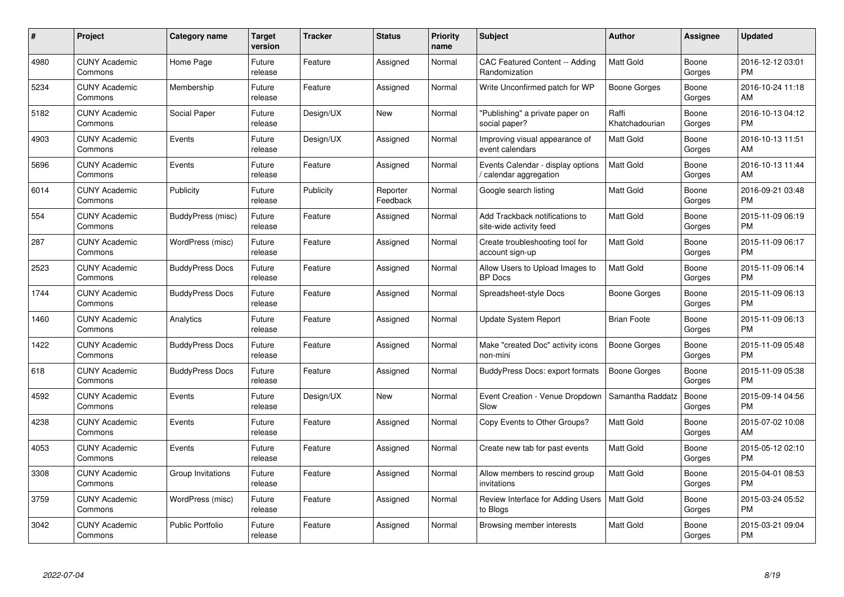| $\#$ | Project                         | <b>Category name</b>    | <b>Target</b><br>version | <b>Tracker</b> | <b>Status</b>        | <b>Priority</b><br>name | <b>Subject</b>                                              | <b>Author</b>           | Assignee        | <b>Updated</b>                |
|------|---------------------------------|-------------------------|--------------------------|----------------|----------------------|-------------------------|-------------------------------------------------------------|-------------------------|-----------------|-------------------------------|
| 4980 | <b>CUNY Academic</b><br>Commons | Home Page               | Future<br>release        | Feature        | Assigned             | Normal                  | <b>CAC Featured Content -- Adding</b><br>Randomization      | <b>Matt Gold</b>        | Boone<br>Gorges | 2016-12-12 03:01<br><b>PM</b> |
| 5234 | <b>CUNY Academic</b><br>Commons | Membership              | Future<br>release        | Feature        | Assigned             | Normal                  | Write Unconfirmed patch for WP                              | Boone Gorges            | Boone<br>Gorges | 2016-10-24 11:18<br>AM        |
| 5182 | <b>CUNY Academic</b><br>Commons | Social Paper            | Future<br>release        | Design/UX      | New                  | Normal                  | "Publishing" a private paper on<br>social paper?            | Raffi<br>Khatchadourian | Boone<br>Gorges | 2016-10-13 04:12<br><b>PM</b> |
| 4903 | <b>CUNY Academic</b><br>Commons | Events                  | Future<br>release        | Design/UX      | Assigned             | Normal                  | Improving visual appearance of<br>event calendars           | <b>Matt Gold</b>        | Boone<br>Gorges | 2016-10-13 11:51<br>AM        |
| 5696 | <b>CUNY Academic</b><br>Commons | Events                  | Future<br>release        | Feature        | Assigned             | Normal                  | Events Calendar - display options<br>calendar aggregation / | <b>Matt Gold</b>        | Boone<br>Gorges | 2016-10-13 11:44<br>AM        |
| 6014 | <b>CUNY Academic</b><br>Commons | Publicity               | Future<br>release        | Publicity      | Reporter<br>Feedback | Normal                  | Google search listing                                       | Matt Gold               | Boone<br>Gorges | 2016-09-21 03:48<br><b>PM</b> |
| 554  | <b>CUNY Academic</b><br>Commons | BuddyPress (misc)       | Future<br>release        | Feature        | Assigned             | Normal                  | Add Trackback notifications to<br>site-wide activity feed   | Matt Gold               | Boone<br>Gorges | 2015-11-09 06:19<br><b>PM</b> |
| 287  | <b>CUNY Academic</b><br>Commons | WordPress (misc)        | Future<br>release        | Feature        | Assigned             | Normal                  | Create troubleshooting tool for<br>account sign-up          | Matt Gold               | Boone<br>Gorges | 2015-11-09 06:17<br><b>PM</b> |
| 2523 | <b>CUNY Academic</b><br>Commons | <b>BuddyPress Docs</b>  | Future<br>release        | Feature        | Assigned             | Normal                  | Allow Users to Upload Images to<br><b>BP</b> Docs           | <b>Matt Gold</b>        | Boone<br>Gorges | 2015-11-09 06:14<br><b>PM</b> |
| 1744 | <b>CUNY Academic</b><br>Commons | <b>BuddyPress Docs</b>  | Future<br>release        | Feature        | Assigned             | Normal                  | Spreadsheet-style Docs                                      | Boone Gorges            | Boone<br>Gorges | 2015-11-09 06:13<br><b>PM</b> |
| 1460 | <b>CUNY Academic</b><br>Commons | Analytics               | Future<br>release        | Feature        | Assigned             | Normal                  | <b>Update System Report</b>                                 | <b>Brian Foote</b>      | Boone<br>Gorges | 2015-11-09 06:13<br><b>PM</b> |
| 1422 | <b>CUNY Academic</b><br>Commons | <b>BuddyPress Docs</b>  | Future<br>release        | Feature        | Assigned             | Normal                  | Make "created Doc" activity icons<br>non-mini               | <b>Boone Gorges</b>     | Boone<br>Gorges | 2015-11-09 05:48<br><b>PM</b> |
| 618  | <b>CUNY Academic</b><br>Commons | <b>BuddyPress Docs</b>  | Future<br>release        | Feature        | Assigned             | Normal                  | BuddyPress Docs: export formats                             | <b>Boone Gorges</b>     | Boone<br>Gorges | 2015-11-09 05:38<br><b>PM</b> |
| 4592 | <b>CUNY Academic</b><br>Commons | Events                  | Future<br>release        | Design/UX      | New                  | Normal                  | Event Creation - Venue Dropdown<br>Slow                     | Samantha Raddatz        | Boone<br>Gorges | 2015-09-14 04:56<br><b>PM</b> |
| 4238 | <b>CUNY Academic</b><br>Commons | Events                  | Future<br>release        | Feature        | Assigned             | Normal                  | Copy Events to Other Groups?                                | Matt Gold               | Boone<br>Gorges | 2015-07-02 10:08<br>AM        |
| 4053 | <b>CUNY Academic</b><br>Commons | Events                  | Future<br>release        | Feature        | Assigned             | Normal                  | Create new tab for past events                              | Matt Gold               | Boone<br>Gorges | 2015-05-12 02:10<br><b>PM</b> |
| 3308 | <b>CUNY Academic</b><br>Commons | Group Invitations       | Future<br>release        | Feature        | Assigned             | Normal                  | Allow members to rescind group<br>invitations               | Matt Gold               | Boone<br>Gorges | 2015-04-01 08:53<br><b>PM</b> |
| 3759 | <b>CUNY Academic</b><br>Commons | WordPress (misc)        | Future<br>release        | Feature        | Assigned             | Normal                  | Review Interface for Adding Users<br>to Blogs               | Matt Gold               | Boone<br>Gorges | 2015-03-24 05:52<br><b>PM</b> |
| 3042 | CUNY Academic<br>Commons        | <b>Public Portfolio</b> | Future<br>release        | Feature        | Assigned             | Normal                  | Browsing member interests                                   | Matt Gold               | Boone<br>Gorges | 2015-03-21 09:04<br><b>PM</b> |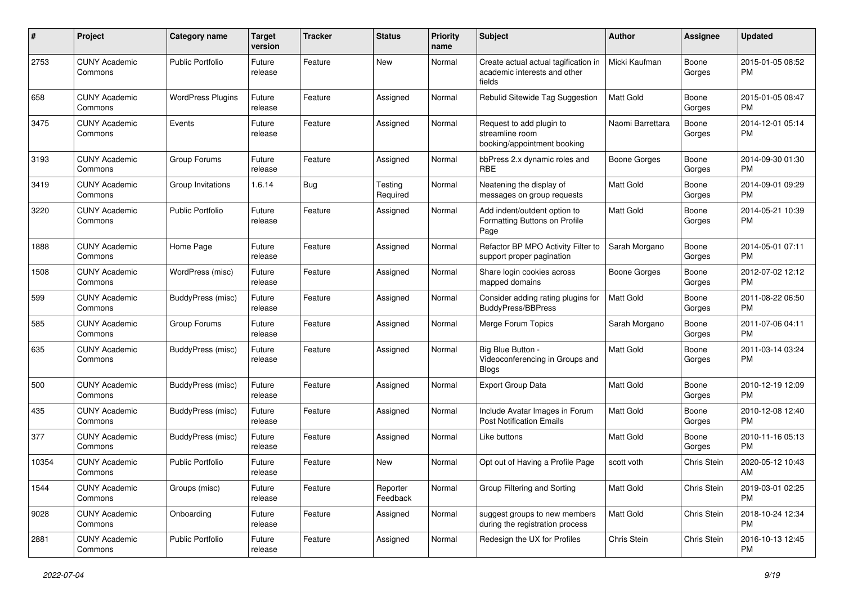| #     | Project                         | <b>Category name</b>     | <b>Target</b><br>version | <b>Tracker</b> | <b>Status</b>        | Priority<br>name | <b>Subject</b>                                                                 | Author              | <b>Assignee</b> | <b>Updated</b>                |
|-------|---------------------------------|--------------------------|--------------------------|----------------|----------------------|------------------|--------------------------------------------------------------------------------|---------------------|-----------------|-------------------------------|
| 2753  | <b>CUNY Academic</b><br>Commons | <b>Public Portfolio</b>  | Future<br>release        | Feature        | New                  | Normal           | Create actual actual tagification in<br>academic interests and other<br>fields | Micki Kaufman       | Boone<br>Gorges | 2015-01-05 08:52<br>PM.       |
| 658   | <b>CUNY Academic</b><br>Commons | <b>WordPress Plugins</b> | Future<br>release        | Feature        | Assigned             | Normal           | Rebulid Sitewide Tag Suggestion                                                | <b>Matt Gold</b>    | Boone<br>Gorges | 2015-01-05 08:47<br>PM.       |
| 3475  | <b>CUNY Academic</b><br>Commons | Events                   | Future<br>release        | Feature        | Assigned             | Normal           | Request to add plugin to<br>streamline room<br>booking/appointment booking     | Naomi Barrettara    | Boone<br>Gorges | 2014-12-01 05:14<br><b>PM</b> |
| 3193  | <b>CUNY Academic</b><br>Commons | Group Forums             | Future<br>release        | Feature        | Assigned             | Normal           | bbPress 2.x dynamic roles and<br><b>RBE</b>                                    | Boone Gorges        | Boone<br>Gorges | 2014-09-30 01:30<br><b>PM</b> |
| 3419  | <b>CUNY Academic</b><br>Commons | Group Invitations        | 1.6.14                   | Bug            | Testing<br>Required  | Normal           | Neatening the display of<br>messages on group requests                         | Matt Gold           | Boone<br>Gorges | 2014-09-01 09:29<br><b>PM</b> |
| 3220  | <b>CUNY Academic</b><br>Commons | <b>Public Portfolio</b>  | Future<br>release        | Feature        | Assigned             | Normal           | Add indent/outdent option to<br>Formatting Buttons on Profile<br>Page          | <b>Matt Gold</b>    | Boone<br>Gorges | 2014-05-21 10:39<br>PM        |
| 1888  | <b>CUNY Academic</b><br>Commons | Home Page                | Future<br>release        | Feature        | Assigned             | Normal           | Refactor BP MPO Activity Filter to<br>support proper pagination                | Sarah Morgano       | Boone<br>Gorges | 2014-05-01 07:11<br>PM        |
| 1508  | <b>CUNY Academic</b><br>Commons | WordPress (misc)         | Future<br>release        | Feature        | Assigned             | Normal           | Share login cookies across<br>mapped domains                                   | <b>Boone Gorges</b> | Boone<br>Gorges | 2012-07-02 12:12<br>PM.       |
| 599   | <b>CUNY Academic</b><br>Commons | BuddyPress (misc)        | Future<br>release        | Feature        | Assigned             | Normal           | Consider adding rating plugins for<br><b>BuddvPress/BBPress</b>                | Matt Gold           | Boone<br>Gorges | 2011-08-22 06:50<br><b>PM</b> |
| 585   | <b>CUNY Academic</b><br>Commons | Group Forums             | Future<br>release        | Feature        | Assigned             | Normal           | Merge Forum Topics                                                             | Sarah Morgano       | Boone<br>Gorges | 2011-07-06 04:11<br>PM.       |
| 635   | <b>CUNY Academic</b><br>Commons | BuddyPress (misc)        | Future<br>release        | Feature        | Assigned             | Normal           | Big Blue Button -<br>Videoconferencing in Groups and<br><b>Blogs</b>           | <b>Matt Gold</b>    | Boone<br>Gorges | 2011-03-14 03:24<br>PM        |
| 500   | <b>CUNY Academic</b><br>Commons | <b>BuddyPress</b> (misc) | Future<br>release        | Feature        | Assigned             | Normal           | Export Group Data                                                              | <b>Matt Gold</b>    | Boone<br>Gorges | 2010-12-19 12:09<br>PM.       |
| 435   | <b>CUNY Academic</b><br>Commons | <b>BuddyPress (misc)</b> | Future<br>release        | Feature        | Assigned             | Normal           | Include Avatar Images in Forum<br><b>Post Notification Emails</b>              | <b>Matt Gold</b>    | Boone<br>Gorges | 2010-12-08 12:40<br><b>PM</b> |
| 377   | <b>CUNY Academic</b><br>Commons | BuddyPress (misc)        | Future<br>release        | Feature        | Assigned             | Normal           | Like buttons                                                                   | Matt Gold           | Boone<br>Gorges | 2010-11-16 05:13<br><b>PM</b> |
| 10354 | <b>CUNY Academic</b><br>Commons | <b>Public Portfolio</b>  | Future<br>release        | Feature        | New                  | Normal           | Opt out of Having a Profile Page                                               | scott voth          | Chris Stein     | 2020-05-12 10:43<br>AM        |
| 1544  | <b>CUNY Academic</b><br>Commons | Groups (misc)            | Future<br>release        | Feature        | Reporter<br>Feedback | Normal           | Group Filtering and Sorting                                                    | Matt Gold           | Chris Stein     | 2019-03-01 02:25<br><b>PM</b> |
| 9028  | <b>CUNY Academic</b><br>Commons | Onboarding               | Future<br>release        | Feature        | Assigned             | Normal           | suggest groups to new members<br>during the registration process               | Matt Gold           | Chris Stein     | 2018-10-24 12:34<br><b>PM</b> |
| 2881  | <b>CUNY Academic</b><br>Commons | Public Portfolio         | Future<br>release        | Feature        | Assigned             | Normal           | Redesign the UX for Profiles                                                   | Chris Stein         | Chris Stein     | 2016-10-13 12:45<br><b>PM</b> |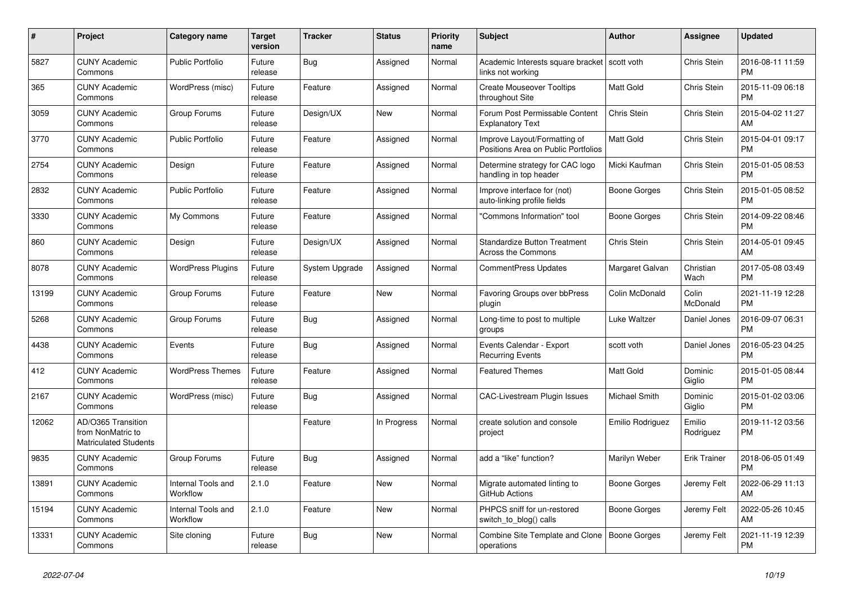| $\pmb{\#}$ | Project                                                                 | Category name                  | <b>Target</b><br>version | <b>Tracker</b> | <b>Status</b> | <b>Priority</b><br>name | <b>Subject</b>                                                      | <b>Author</b>        | Assignee            | <b>Updated</b>                |
|------------|-------------------------------------------------------------------------|--------------------------------|--------------------------|----------------|---------------|-------------------------|---------------------------------------------------------------------|----------------------|---------------------|-------------------------------|
| 5827       | <b>CUNY Academic</b><br>Commons                                         | <b>Public Portfolio</b>        | Future<br>release        | Bug            | Assigned      | Normal                  | Academic Interests square bracket   scott voth<br>links not working |                      | Chris Stein         | 2016-08-11 11:59<br><b>PM</b> |
| 365        | <b>CUNY Academic</b><br>Commons                                         | WordPress (misc)               | Future<br>release        | Feature        | Assigned      | Normal                  | <b>Create Mouseover Tooltips</b><br>throughout Site                 | Matt Gold            | Chris Stein         | 2015-11-09 06:18<br><b>PM</b> |
| 3059       | <b>CUNY Academic</b><br>Commons                                         | Group Forums                   | Future<br>release        | Design/UX      | New           | Normal                  | Forum Post Permissable Content<br><b>Explanatory Text</b>           | Chris Stein          | Chris Stein         | 2015-04-02 11:27<br>AM        |
| 3770       | <b>CUNY Academic</b><br>Commons                                         | <b>Public Portfolio</b>        | Future<br>release        | Feature        | Assigned      | Normal                  | Improve Layout/Formatting of<br>Positions Area on Public Portfolios | Matt Gold            | Chris Stein         | 2015-04-01 09:17<br><b>PM</b> |
| 2754       | <b>CUNY Academic</b><br>Commons                                         | Design                         | Future<br>release        | Feature        | Assigned      | Normal                  | Determine strategy for CAC logo<br>handling in top header           | Micki Kaufman        | Chris Stein         | 2015-01-05 08:53<br><b>PM</b> |
| 2832       | <b>CUNY Academic</b><br>Commons                                         | <b>Public Portfolio</b>        | Future<br>release        | Feature        | Assigned      | Normal                  | Improve interface for (not)<br>auto-linking profile fields          | Boone Gorges         | Chris Stein         | 2015-01-05 08:52<br><b>PM</b> |
| 3330       | <b>CUNY Academic</b><br>Commons                                         | My Commons                     | Future<br>release        | Feature        | Assigned      | Normal                  | "Commons Information" tool                                          | Boone Gorges         | Chris Stein         | 2014-09-22 08:46<br><b>PM</b> |
| 860        | <b>CUNY Academic</b><br>Commons                                         | Design                         | Future<br>release        | Design/UX      | Assigned      | Normal                  | <b>Standardize Button Treatment</b><br><b>Across the Commons</b>    | Chris Stein          | Chris Stein         | 2014-05-01 09:45<br>AM        |
| 8078       | <b>CUNY Academic</b><br>Commons                                         | <b>WordPress Plugins</b>       | Future<br>release        | System Upgrade | Assigned      | Normal                  | <b>CommentPress Updates</b>                                         | Margaret Galvan      | Christian<br>Wach   | 2017-05-08 03:49<br><b>PM</b> |
| 13199      | <b>CUNY Academic</b><br>Commons                                         | Group Forums                   | Future<br>release        | Feature        | New           | Normal                  | Favoring Groups over bbPress<br>plugin                              | Colin McDonald       | Colin<br>McDonald   | 2021-11-19 12:28<br><b>PM</b> |
| 5268       | <b>CUNY Academic</b><br>Commons                                         | Group Forums                   | Future<br>release        | Bug            | Assigned      | Normal                  | Long-time to post to multiple<br>groups                             | Luke Waltzer         | Daniel Jones        | 2016-09-07 06:31<br><b>PM</b> |
| 4438       | <b>CUNY Academic</b><br>Commons                                         | Events                         | Future<br>release        | Bug            | Assigned      | Normal                  | Events Calendar - Export<br><b>Recurring Events</b>                 | scott voth           | Daniel Jones        | 2016-05-23 04:25<br><b>PM</b> |
| 412        | <b>CUNY Academic</b><br>Commons                                         | <b>WordPress Themes</b>        | Future<br>release        | Feature        | Assigned      | Normal                  | <b>Featured Themes</b>                                              | <b>Matt Gold</b>     | Dominic<br>Giglio   | 2015-01-05 08:44<br><b>PM</b> |
| 2167       | <b>CUNY Academic</b><br>Commons                                         | WordPress (misc)               | Future<br>release        | <b>Bug</b>     | Assigned      | Normal                  | <b>CAC-Livestream Plugin Issues</b>                                 | <b>Michael Smith</b> | Dominic<br>Giglio   | 2015-01-02 03:06<br><b>PM</b> |
| 12062      | AD/O365 Transition<br>from NonMatric to<br><b>Matriculated Students</b> |                                |                          | Feature        | In Progress   | Normal                  | create solution and console<br>project                              | Emilio Rodriguez     | Emilio<br>Rodriguez | 2019-11-12 03:56<br><b>PM</b> |
| 9835       | <b>CUNY Academic</b><br>Commons                                         | Group Forums                   | Future<br>release        | Bug            | Assigned      | Normal                  | add a "like" function?                                              | Marilyn Weber        | <b>Erik Trainer</b> | 2018-06-05 01:49<br><b>PM</b> |
| 13891      | <b>CUNY Academic</b><br>Commons                                         | Internal Tools and<br>Workflow | 2.1.0                    | Feature        | New           | Normal                  | Migrate automated linting to<br>GitHub Actions                      | Boone Gorges         | Jeremy Felt         | 2022-06-29 11:13<br>AM        |
| 15194      | <b>CUNY Academic</b><br>Commons                                         | Internal Tools and<br>Workflow | 2.1.0                    | Feature        | New           | Normal                  | PHPCS sniff for un-restored<br>switch_to_blog() calls               | Boone Gorges         | Jeremy Felt         | 2022-05-26 10:45<br>AM        |
| 13331      | <b>CUNY Academic</b><br>Commons                                         | Site cloning                   | Future<br>release        | <b>Bug</b>     | <b>New</b>    | Normal                  | Combine Site Template and Clone<br>operations                       | Boone Gorges         | Jeremy Felt         | 2021-11-19 12:39<br><b>PM</b> |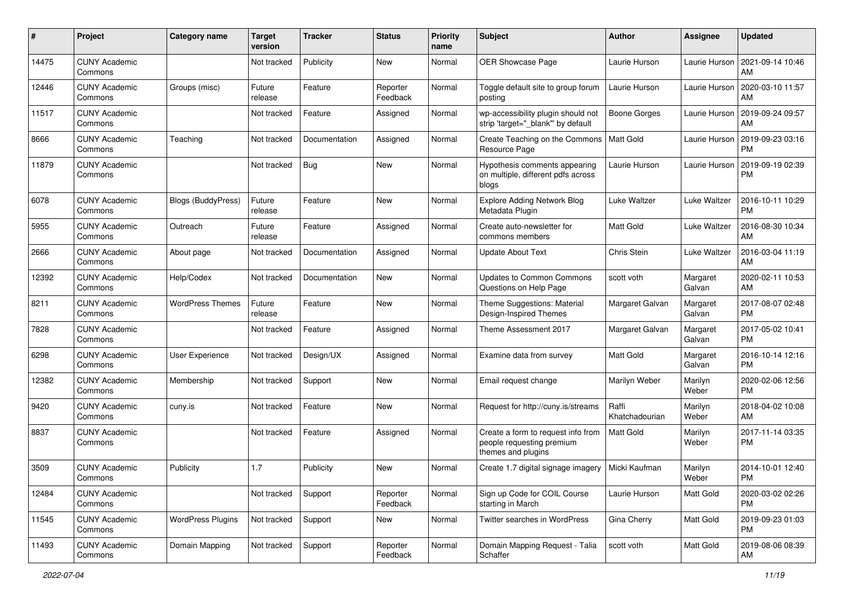| #     | Project                         | <b>Category name</b>      | <b>Target</b><br>version | <b>Tracker</b> | <b>Status</b>        | <b>Priority</b><br>name | <b>Subject</b>                                                                        | Author                  | Assignee           | <b>Updated</b>                |
|-------|---------------------------------|---------------------------|--------------------------|----------------|----------------------|-------------------------|---------------------------------------------------------------------------------------|-------------------------|--------------------|-------------------------------|
| 14475 | <b>CUNY Academic</b><br>Commons |                           | Not tracked              | Publicity      | <b>New</b>           | Normal                  | OER Showcase Page                                                                     | Laurie Hurson           | Laurie Hurson      | 2021-09-14 10:46<br>AM        |
| 12446 | <b>CUNY Academic</b><br>Commons | Groups (misc)             | Future<br>release        | Feature        | Reporter<br>Feedback | Normal                  | Toggle default site to group forum<br>posting                                         | Laurie Hurson           | Laurie Hurson      | 2020-03-10 11:57<br>AM        |
| 11517 | <b>CUNY Academic</b><br>Commons |                           | Not tracked              | Feature        | Assigned             | Normal                  | wp-accessibility plugin should not<br>strip 'target="_blank"' by default              | Boone Gorges            | Laurie Hurson      | 2019-09-24 09:57<br>AM        |
| 8666  | <b>CUNY Academic</b><br>Commons | Teaching                  | Not tracked              | Documentation  | Assigned             | Normal                  | Create Teaching on the Commons<br>Resource Page                                       | Matt Gold               | Laurie Hurson      | 2019-09-23 03:16<br><b>PM</b> |
| 11879 | <b>CUNY Academic</b><br>Commons |                           | Not tracked              | Bug            | New                  | Normal                  | Hypothesis comments appearing<br>on multiple, different pdfs across<br>blogs          | Laurie Hurson           | Laurie Hurson      | 2019-09-19 02:39<br>PM        |
| 6078  | <b>CUNY Academic</b><br>Commons | <b>Blogs (BuddyPress)</b> | Future<br>release        | Feature        | New                  | Normal                  | <b>Explore Adding Network Blog</b><br>Metadata Plugin                                 | Luke Waltzer            | Luke Waltzer       | 2016-10-11 10:29<br><b>PM</b> |
| 5955  | <b>CUNY Academic</b><br>Commons | Outreach                  | Future<br>release        | Feature        | Assigned             | Normal                  | Create auto-newsletter for<br>commons members                                         | <b>Matt Gold</b>        | Luke Waltzer       | 2016-08-30 10:34<br>AM        |
| 2666  | <b>CUNY Academic</b><br>Commons | About page                | Not tracked              | Documentation  | Assigned             | Normal                  | <b>Update About Text</b>                                                              | Chris Stein             | Luke Waltzer       | 2016-03-04 11:19<br>AM        |
| 12392 | <b>CUNY Academic</b><br>Commons | Help/Codex                | Not tracked              | Documentation  | New                  | Normal                  | Updates to Common Commons<br>Questions on Help Page                                   | scott voth              | Margaret<br>Galvan | 2020-02-11 10:53<br>AM        |
| 8211  | <b>CUNY Academic</b><br>Commons | <b>WordPress Themes</b>   | Future<br>release        | Feature        | New                  | Normal                  | Theme Suggestions: Material<br>Design-Inspired Themes                                 | Margaret Galvan         | Margaret<br>Galvan | 2017-08-07 02:48<br><b>PM</b> |
| 7828  | <b>CUNY Academic</b><br>Commons |                           | Not tracked              | Feature        | Assigned             | Normal                  | Theme Assessment 2017                                                                 | Margaret Galvan         | Margaret<br>Galvan | 2017-05-02 10:41<br><b>PM</b> |
| 6298  | <b>CUNY Academic</b><br>Commons | <b>User Experience</b>    | Not tracked              | Design/UX      | Assigned             | Normal                  | Examine data from survey                                                              | <b>Matt Gold</b>        | Margaret<br>Galvan | 2016-10-14 12:16<br><b>PM</b> |
| 12382 | <b>CUNY Academic</b><br>Commons | Membership                | Not tracked              | Support        | New                  | Normal                  | Email request change                                                                  | Marilyn Weber           | Marilyn<br>Weber   | 2020-02-06 12:56<br><b>PM</b> |
| 9420  | <b>CUNY Academic</b><br>Commons | cuny.is                   | Not tracked              | Feature        | New                  | Normal                  | Request for http://cuny.is/streams                                                    | Raffi<br>Khatchadourian | Marilyn<br>Weber   | 2018-04-02 10:08<br>AM        |
| 8837  | <b>CUNY Academic</b><br>Commons |                           | Not tracked              | Feature        | Assigned             | Normal                  | Create a form to request info from<br>people requesting premium<br>themes and plugins | Matt Gold               | Marilyn<br>Weber   | 2017-11-14 03:35<br><b>PM</b> |
| 3509  | <b>CUNY Academic</b><br>Commons | Publicity                 | 1.7                      | Publicity      | New                  | Normal                  | Create 1.7 digital signage imagery                                                    | Micki Kaufman           | Marilyn<br>Weber   | 2014-10-01 12:40<br>PM        |
| 12484 | <b>CUNY Academic</b><br>Commons |                           | Not tracked              | Support        | Reporter<br>Feedback | Normal                  | Sign up Code for COIL Course<br>starting in March                                     | Laurie Hurson           | Matt Gold          | 2020-03-02 02:26<br><b>PM</b> |
| 11545 | <b>CUNY Academic</b><br>Commons | <b>WordPress Plugins</b>  | Not tracked              | Support        | New                  | Normal                  | Twitter searches in WordPress                                                         | Gina Cherry             | Matt Gold          | 2019-09-23 01:03<br><b>PM</b> |
| 11493 | <b>CUNY Academic</b><br>Commons | Domain Mapping            | Not tracked              | Support        | Reporter<br>Feedback | Normal                  | Domain Mapping Request - Talia<br>Schaffer                                            | scott voth              | Matt Gold          | 2019-08-06 08:39<br>AM        |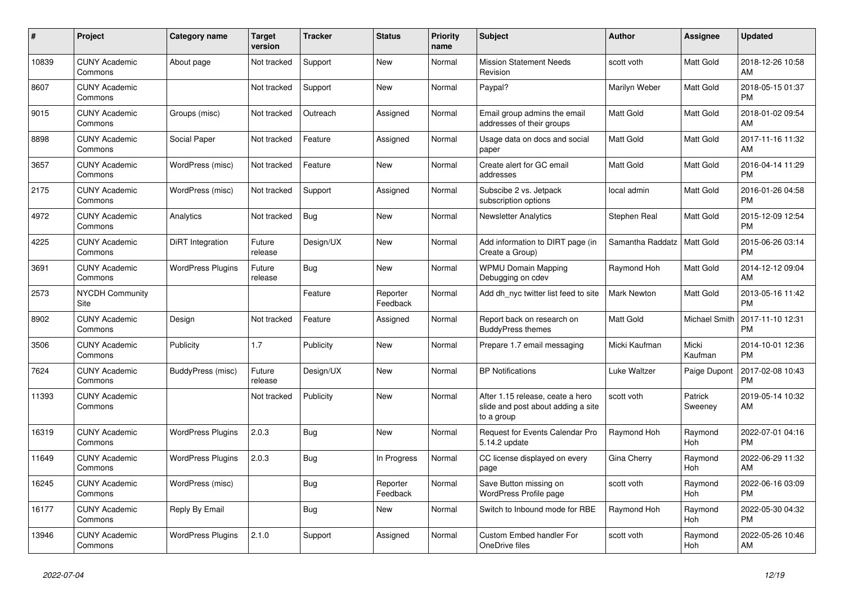| #     | Project                         | Category name            | <b>Target</b><br>version | Tracker    | <b>Status</b>        | <b>Priority</b><br>name | <b>Subject</b>                                                                       | <b>Author</b>    | Assignee           | <b>Updated</b>                |
|-------|---------------------------------|--------------------------|--------------------------|------------|----------------------|-------------------------|--------------------------------------------------------------------------------------|------------------|--------------------|-------------------------------|
| 10839 | <b>CUNY Academic</b><br>Commons | About page               | Not tracked              | Support    | New                  | Normal                  | <b>Mission Statement Needs</b><br>Revision                                           | scott voth       | Matt Gold          | 2018-12-26 10:58<br>AM        |
| 8607  | <b>CUNY Academic</b><br>Commons |                          | Not tracked              | Support    | <b>New</b>           | Normal                  | Paypal?                                                                              | Marilyn Weber    | Matt Gold          | 2018-05-15 01:37<br><b>PM</b> |
| 9015  | <b>CUNY Academic</b><br>Commons | Groups (misc)            | Not tracked              | Outreach   | Assigned             | Normal                  | Email group admins the email<br>addresses of their groups                            | <b>Matt Gold</b> | Matt Gold          | 2018-01-02 09:54<br>AM        |
| 8898  | <b>CUNY Academic</b><br>Commons | Social Paper             | Not tracked              | Feature    | Assigned             | Normal                  | Usage data on docs and social<br>paper                                               | Matt Gold        | Matt Gold          | 2017-11-16 11:32<br>AM        |
| 3657  | <b>CUNY Academic</b><br>Commons | WordPress (misc)         | Not tracked              | Feature    | <b>New</b>           | Normal                  | Create alert for GC email<br>addresses                                               | Matt Gold        | Matt Gold          | 2016-04-14 11:29<br><b>PM</b> |
| 2175  | <b>CUNY Academic</b><br>Commons | WordPress (misc)         | Not tracked              | Support    | Assigned             | Normal                  | Subscibe 2 vs. Jetpack<br>subscription options                                       | local admin      | Matt Gold          | 2016-01-26 04:58<br><b>PM</b> |
| 4972  | <b>CUNY Academic</b><br>Commons | Analytics                | Not tracked              | <b>Bug</b> | <b>New</b>           | Normal                  | <b>Newsletter Analytics</b>                                                          | Stephen Real     | Matt Gold          | 2015-12-09 12:54<br><b>PM</b> |
| 4225  | <b>CUNY Academic</b><br>Commons | <b>DiRT</b> Integration  | Future<br>release        | Design/UX  | <b>New</b>           | Normal                  | Add information to DIRT page (in<br>Create a Group)                                  | Samantha Raddatz | <b>Matt Gold</b>   | 2015-06-26 03:14<br><b>PM</b> |
| 3691  | <b>CUNY Academic</b><br>Commons | <b>WordPress Plugins</b> | Future<br>release        | Bug        | New                  | Normal                  | <b>WPMU Domain Mapping</b><br>Debugging on cdev                                      | Raymond Hoh      | Matt Gold          | 2014-12-12 09:04<br>AM        |
| 2573  | NYCDH Community<br>Site         |                          |                          | Feature    | Reporter<br>Feedback | Normal                  | Add dh_nyc twitter list feed to site                                                 | Mark Newton      | Matt Gold          | 2013-05-16 11:42<br><b>PM</b> |
| 8902  | <b>CUNY Academic</b><br>Commons | Design                   | Not tracked              | Feature    | Assigned             | Normal                  | Report back on research on<br><b>BuddyPress themes</b>                               | Matt Gold        | Michael Smith      | 2017-11-10 12:31<br><b>PM</b> |
| 3506  | <b>CUNY Academic</b><br>Commons | Publicity                | 1.7                      | Publicity  | New                  | Normal                  | Prepare 1.7 email messaging                                                          | Micki Kaufman    | Micki<br>Kaufman   | 2014-10-01 12:36<br><b>PM</b> |
| 7624  | <b>CUNY Academic</b><br>Commons | BuddyPress (misc)        | Future<br>release        | Design/UX  | <b>New</b>           | Normal                  | <b>BP</b> Notifications                                                              | Luke Waltzer     | Paige Dupont       | 2017-02-08 10:43<br><b>PM</b> |
| 11393 | <b>CUNY Academic</b><br>Commons |                          | Not tracked              | Publicity  | <b>New</b>           | Normal                  | After 1.15 release, ceate a hero<br>slide and post about adding a site<br>to a group | scott voth       | Patrick<br>Sweeney | 2019-05-14 10:32<br>AM        |
| 16319 | <b>CUNY Academic</b><br>Commons | <b>WordPress Plugins</b> | 2.0.3                    | <b>Bug</b> | New                  | Normal                  | Request for Events Calendar Pro<br>5.14.2 update                                     | Raymond Hoh      | Raymond<br>Hoh     | 2022-07-01 04:16<br><b>PM</b> |
| 11649 | <b>CUNY Academic</b><br>Commons | <b>WordPress Plugins</b> | 2.0.3                    | <b>Bug</b> | In Progress          | Normal                  | CC license displayed on every<br>page                                                | Gina Cherry      | Raymond<br>Hoh     | 2022-06-29 11:32<br>AM        |
| 16245 | <b>CUNY Academic</b><br>Commons | WordPress (misc)         |                          | Bug        | Reporter<br>Feedback | Normal                  | Save Button missing on<br>WordPress Profile page                                     | scott voth       | Raymond<br>Hoh     | 2022-06-16 03:09<br><b>PM</b> |
| 16177 | <b>CUNY Academic</b><br>Commons | Reply By Email           |                          | <b>Bug</b> | New                  | Normal                  | Switch to Inbound mode for RBE                                                       | Raymond Hoh      | Raymond<br>Hoh     | 2022-05-30 04:32<br><b>PM</b> |
| 13946 | <b>CUNY Academic</b><br>Commons | <b>WordPress Plugins</b> | 2.1.0                    | Support    | Assigned             | Normal                  | <b>Custom Embed handler For</b><br>OneDrive files                                    | scott voth       | Raymond<br>Hoh     | 2022-05-26 10:46<br>AM        |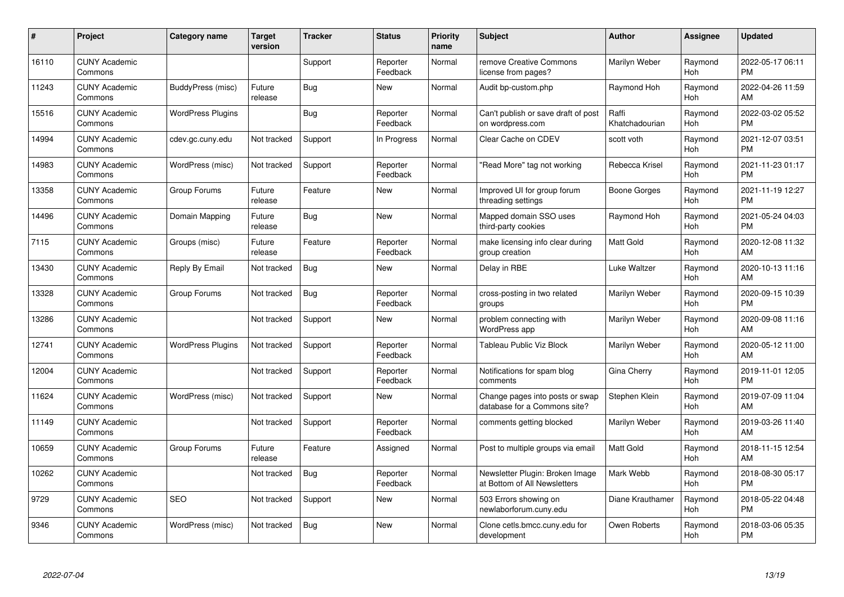| #     | Project                         | Category name            | <b>Target</b><br>version | <b>Tracker</b> | <b>Status</b>        | <b>Priority</b><br>name | <b>Subject</b>                                                  | <b>Author</b>           | <b>Assignee</b> | <b>Updated</b>                |
|-------|---------------------------------|--------------------------|--------------------------|----------------|----------------------|-------------------------|-----------------------------------------------------------------|-------------------------|-----------------|-------------------------------|
| 16110 | <b>CUNY Academic</b><br>Commons |                          |                          | Support        | Reporter<br>Feedback | Normal                  | remove Creative Commons<br>license from pages?                  | Marilyn Weber           | Raymond<br>Hoh  | 2022-05-17 06:11<br><b>PM</b> |
| 11243 | <b>CUNY Academic</b><br>Commons | BuddyPress (misc)        | Future<br>release        | Bug            | <b>New</b>           | Normal                  | Audit bp-custom.php                                             | Raymond Hoh             | Raymond<br>Hoh  | 2022-04-26 11:59<br>AM        |
| 15516 | <b>CUNY Academic</b><br>Commons | <b>WordPress Plugins</b> |                          | Bug            | Reporter<br>Feedback | Normal                  | Can't publish or save draft of post<br>on wordpress.com         | Raffi<br>Khatchadourian | Raymond<br>Hoh  | 2022-03-02 05:52<br><b>PM</b> |
| 14994 | <b>CUNY Academic</b><br>Commons | cdev.gc.cuny.edu         | Not tracked              | Support        | In Progress          | Normal                  | Clear Cache on CDEV                                             | scott voth              | Raymond<br>Hoh  | 2021-12-07 03:51<br><b>PM</b> |
| 14983 | <b>CUNY Academic</b><br>Commons | WordPress (misc)         | Not tracked              | Support        | Reporter<br>Feedback | Normal                  | "Read More" tag not working                                     | Rebecca Krisel          | Raymond<br>Hoh  | 2021-11-23 01:17<br><b>PM</b> |
| 13358 | <b>CUNY Academic</b><br>Commons | Group Forums             | Future<br>release        | Feature        | <b>New</b>           | Normal                  | Improved UI for group forum<br>threading settings               | Boone Gorges            | Raymond<br>Hoh  | 2021-11-19 12:27<br><b>PM</b> |
| 14496 | <b>CUNY Academic</b><br>Commons | Domain Mapping           | Future<br>release        | <b>Bug</b>     | <b>New</b>           | Normal                  | Mapped domain SSO uses<br>third-party cookies                   | Raymond Hoh             | Raymond<br>Hoh  | 2021-05-24 04:03<br><b>PM</b> |
| 7115  | <b>CUNY Academic</b><br>Commons | Groups (misc)            | Future<br>release        | Feature        | Reporter<br>Feedback | Normal                  | make licensing info clear during<br>group creation              | <b>Matt Gold</b>        | Raymond<br>Hoh  | 2020-12-08 11:32<br>AM        |
| 13430 | <b>CUNY Academic</b><br>Commons | Reply By Email           | Not tracked              | Bug            | New                  | Normal                  | Delay in RBE                                                    | Luke Waltzer            | Raymond<br>Hoh  | 2020-10-13 11:16<br>AM        |
| 13328 | <b>CUNY Academic</b><br>Commons | Group Forums             | Not tracked              | Bug            | Reporter<br>Feedback | Normal                  | cross-posting in two related<br>groups                          | Marilyn Weber           | Raymond<br>Hoh  | 2020-09-15 10:39<br><b>PM</b> |
| 13286 | <b>CUNY Academic</b><br>Commons |                          | Not tracked              | Support        | New                  | Normal                  | problem connecting with<br>WordPress app                        | Marilyn Weber           | Raymond<br>Hoh  | 2020-09-08 11:16<br>AM        |
| 12741 | <b>CUNY Academic</b><br>Commons | <b>WordPress Plugins</b> | Not tracked              | Support        | Reporter<br>Feedback | Normal                  | Tableau Public Viz Block                                        | Marilyn Weber           | Raymond<br>Hoh  | 2020-05-12 11:00<br>AM        |
| 12004 | <b>CUNY Academic</b><br>Commons |                          | Not tracked              | Support        | Reporter<br>Feedback | Normal                  | Notifications for spam blog<br>comments                         | Gina Cherry             | Raymond<br>Hoh  | 2019-11-01 12:05<br><b>PM</b> |
| 11624 | <b>CUNY Academic</b><br>Commons | WordPress (misc)         | Not tracked              | Support        | New                  | Normal                  | Change pages into posts or swap<br>database for a Commons site? | Stephen Klein           | Raymond<br>Hoh  | 2019-07-09 11:04<br>AM        |
| 11149 | <b>CUNY Academic</b><br>Commons |                          | Not tracked              | Support        | Reporter<br>Feedback | Normal                  | comments getting blocked                                        | Marilyn Weber           | Raymond<br>Hoh  | 2019-03-26 11:40<br>AM        |
| 10659 | <b>CUNY Academic</b><br>Commons | Group Forums             | Future<br>release        | Feature        | Assigned             | Normal                  | Post to multiple groups via email                               | <b>Matt Gold</b>        | Raymond<br>Hoh  | 2018-11-15 12:54<br>AM        |
| 10262 | <b>CUNY Academic</b><br>Commons |                          | Not tracked              | <b>Bug</b>     | Reporter<br>Feedback | Normal                  | Newsletter Plugin: Broken Image<br>at Bottom of All Newsletters | Mark Webb               | Raymond<br>Hoh  | 2018-08-30 05:17<br><b>PM</b> |
| 9729  | <b>CUNY Academic</b><br>Commons | <b>SEO</b>               | Not tracked              | Support        | New                  | Normal                  | 503 Errors showing on<br>newlaborforum.cuny.edu                 | Diane Krauthamer        | Raymond<br>Hoh  | 2018-05-22 04:48<br><b>PM</b> |
| 9346  | <b>CUNY Academic</b><br>Commons | WordPress (misc)         | Not tracked              | <b>Bug</b>     | <b>New</b>           | Normal                  | Clone cetls.bmcc.cuny.edu for<br>development                    | Owen Roberts            | Raymond<br>Hoh  | 2018-03-06 05:35<br><b>PM</b> |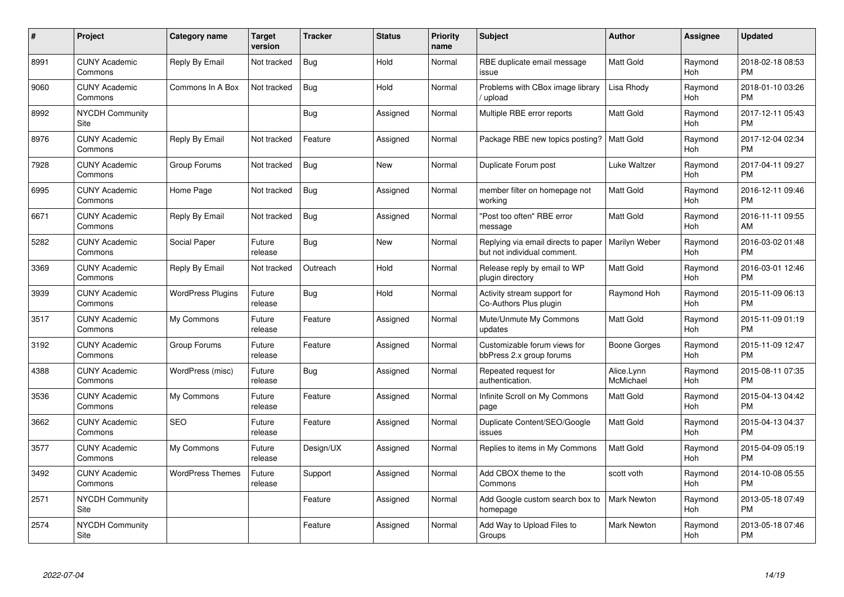| $\#$ | Project                         | <b>Category name</b>     | Target<br>version | <b>Tracker</b> | <b>Status</b> | <b>Priority</b><br>name | <b>Subject</b>                                                     | Author                  | <b>Assignee</b>       | <b>Updated</b>                |
|------|---------------------------------|--------------------------|-------------------|----------------|---------------|-------------------------|--------------------------------------------------------------------|-------------------------|-----------------------|-------------------------------|
| 8991 | <b>CUNY Academic</b><br>Commons | Reply By Email           | Not tracked       | Bug            | Hold          | Normal                  | RBE duplicate email message<br>issue                               | <b>Matt Gold</b>        | Raymond<br>Hoh        | 2018-02-18 08:53<br><b>PM</b> |
| 9060 | <b>CUNY Academic</b><br>Commons | Commons In A Box         | Not tracked       | Bug            | Hold          | Normal                  | Problems with CBox image library<br>upload                         | Lisa Rhody              | Raymond<br>Hoh        | 2018-01-10 03:26<br><b>PM</b> |
| 8992 | <b>NYCDH Community</b><br>Site  |                          |                   | <b>Bug</b>     | Assigned      | Normal                  | Multiple RBE error reports                                         | Matt Gold               | Raymond<br>Hoh        | 2017-12-11 05:43<br><b>PM</b> |
| 8976 | <b>CUNY Academic</b><br>Commons | Reply By Email           | Not tracked       | Feature        | Assigned      | Normal                  | Package RBE new topics posting?                                    | Matt Gold               | Raymond<br>Hoh        | 2017-12-04 02:34<br><b>PM</b> |
| 7928 | <b>CUNY Academic</b><br>Commons | Group Forums             | Not tracked       | <b>Bug</b>     | <b>New</b>    | Normal                  | Duplicate Forum post                                               | Luke Waltzer            | Raymond<br>Hoh        | 2017-04-11 09:27<br><b>PM</b> |
| 6995 | <b>CUNY Academic</b><br>Commons | Home Page                | Not tracked       | Bug            | Assigned      | Normal                  | member filter on homepage not<br>working                           | <b>Matt Gold</b>        | Raymond<br>Hoh        | 2016-12-11 09:46<br><b>PM</b> |
| 6671 | <b>CUNY Academic</b><br>Commons | Reply By Email           | Not tracked       | <b>Bug</b>     | Assigned      | Normal                  | "Post too often" RBE error<br>message                              | Matt Gold               | Raymond<br>Hoh        | 2016-11-11 09:55<br>AM        |
| 5282 | <b>CUNY Academic</b><br>Commons | Social Paper             | Future<br>release | Bug            | <b>New</b>    | Normal                  | Replying via email directs to paper<br>but not individual comment. | Marilyn Weber           | Raymond<br>Hoh        | 2016-03-02 01:48<br><b>PM</b> |
| 3369 | <b>CUNY Academic</b><br>Commons | Reply By Email           | Not tracked       | Outreach       | Hold          | Normal                  | Release reply by email to WP<br>plugin directory                   | <b>Matt Gold</b>        | Raymond<br>Hoh        | 2016-03-01 12:46<br><b>PM</b> |
| 3939 | <b>CUNY Academic</b><br>Commons | <b>WordPress Plugins</b> | Future<br>release | Bug            | Hold          | Normal                  | Activity stream support for<br>Co-Authors Plus plugin              | Raymond Hoh             | Raymond<br>Hoh        | 2015-11-09 06:13<br><b>PM</b> |
| 3517 | <b>CUNY Academic</b><br>Commons | My Commons               | Future<br>release | Feature        | Assigned      | Normal                  | Mute/Unmute My Commons<br>updates                                  | Matt Gold               | Raymond<br>Hoh        | 2015-11-09 01:19<br><b>PM</b> |
| 3192 | <b>CUNY Academic</b><br>Commons | Group Forums             | Future<br>release | Feature        | Assigned      | Normal                  | Customizable forum views for<br>bbPress 2.x group forums           | Boone Gorges            | Raymond<br>Hoh        | 2015-11-09 12:47<br><b>PM</b> |
| 4388 | <b>CUNY Academic</b><br>Commons | WordPress (misc)         | Future<br>release | Bug            | Assigned      | Normal                  | Repeated request for<br>authentication.                            | Alice.Lynn<br>McMichael | Raymond<br>Hoh        | 2015-08-11 07:35<br><b>PM</b> |
| 3536 | <b>CUNY Academic</b><br>Commons | My Commons               | Future<br>release | Feature        | Assigned      | Normal                  | Infinite Scroll on My Commons<br>page                              | Matt Gold               | Raymond<br>Hoh        | 2015-04-13 04:42<br><b>PM</b> |
| 3662 | <b>CUNY Academic</b><br>Commons | <b>SEO</b>               | Future<br>release | Feature        | Assigned      | Normal                  | Duplicate Content/SEO/Google<br>issues                             | <b>Matt Gold</b>        | Raymond<br>Hoh        | 2015-04-13 04:37<br><b>PM</b> |
| 3577 | <b>CUNY Academic</b><br>Commons | My Commons               | Future<br>release | Design/UX      | Assigned      | Normal                  | Replies to items in My Commons                                     | <b>Matt Gold</b>        | Raymond<br><b>Hoh</b> | 2015-04-09 05:19<br><b>PM</b> |
| 3492 | <b>CUNY Academic</b><br>Commons | <b>WordPress Themes</b>  | Future<br>release | Support        | Assigned      | Normal                  | Add CBOX theme to the<br>Commons                                   | scott voth              | Raymond<br>Hoh        | 2014-10-08 05:55<br><b>PM</b> |
| 2571 | <b>NYCDH Community</b><br>Site  |                          |                   | Feature        | Assigned      | Normal                  | Add Google custom search box to<br>homepage                        | <b>Mark Newton</b>      | Raymond<br>Hoh        | 2013-05-18 07:49<br><b>PM</b> |
| 2574 | NYCDH Community<br>Site         |                          |                   | Feature        | Assigned      | Normal                  | Add Way to Upload Files to<br>Groups                               | <b>Mark Newton</b>      | Raymond<br>Hoh        | 2013-05-18 07:46<br>PM        |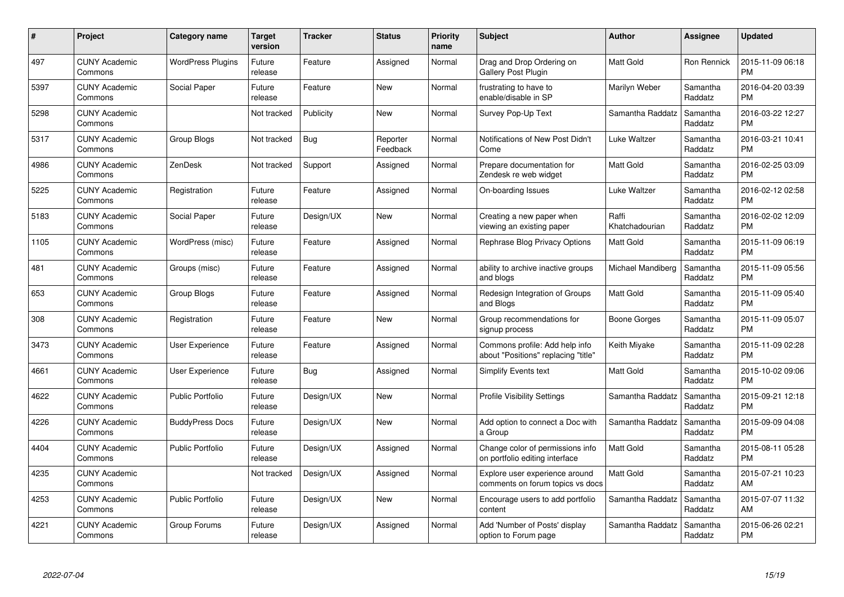| $\#$ | Project                         | <b>Category name</b>     | Target<br>version | <b>Tracker</b> | <b>Status</b>        | Priority<br>name | <b>Subject</b>                                                        | <b>Author</b>           | <b>Assignee</b>     | <b>Updated</b>                |
|------|---------------------------------|--------------------------|-------------------|----------------|----------------------|------------------|-----------------------------------------------------------------------|-------------------------|---------------------|-------------------------------|
| 497  | <b>CUNY Academic</b><br>Commons | <b>WordPress Plugins</b> | Future<br>release | Feature        | Assigned             | Normal           | Drag and Drop Ordering on<br>Gallery Post Plugin                      | <b>Matt Gold</b>        | Ron Rennick         | 2015-11-09 06:18<br><b>PM</b> |
| 5397 | <b>CUNY Academic</b><br>Commons | Social Paper             | Future<br>release | Feature        | <b>New</b>           | Normal           | frustrating to have to<br>enable/disable in SP                        | Marilyn Weber           | Samantha<br>Raddatz | 2016-04-20 03:39<br><b>PM</b> |
| 5298 | <b>CUNY Academic</b><br>Commons |                          | Not tracked       | Publicity      | <b>New</b>           | Normal           | Survey Pop-Up Text                                                    | Samantha Raddatz        | Samantha<br>Raddatz | 2016-03-22 12:27<br><b>PM</b> |
| 5317 | <b>CUNY Academic</b><br>Commons | Group Blogs              | Not tracked       | <b>Bug</b>     | Reporter<br>Feedback | Normal           | Notifications of New Post Didn't<br>Come                              | Luke Waltzer            | Samantha<br>Raddatz | 2016-03-21 10:41<br><b>PM</b> |
| 4986 | <b>CUNY Academic</b><br>Commons | <b>ZenDesk</b>           | Not tracked       | Support        | Assigned             | Normal           | Prepare documentation for<br>Zendesk re web widget                    | Matt Gold               | Samantha<br>Raddatz | 2016-02-25 03:09<br><b>PM</b> |
| 5225 | <b>CUNY Academic</b><br>Commons | Registration             | Future<br>release | Feature        | Assigned             | Normal           | On-boarding Issues                                                    | Luke Waltzer            | Samantha<br>Raddatz | 2016-02-12 02:58<br><b>PM</b> |
| 5183 | <b>CUNY Academic</b><br>Commons | Social Paper             | Future<br>release | Design/UX      | New                  | Normal           | Creating a new paper when<br>viewing an existing paper                | Raffi<br>Khatchadourian | Samantha<br>Raddatz | 2016-02-02 12:09<br><b>PM</b> |
| 1105 | <b>CUNY Academic</b><br>Commons | WordPress (misc)         | Future<br>release | Feature        | Assigned             | Normal           | <b>Rephrase Blog Privacy Options</b>                                  | Matt Gold               | Samantha<br>Raddatz | 2015-11-09 06:19<br><b>PM</b> |
| 481  | <b>CUNY Academic</b><br>Commons | Groups (misc)            | Future<br>release | Feature        | Assigned             | Normal           | ability to archive inactive groups<br>and blogs                       | Michael Mandiberg       | Samantha<br>Raddatz | 2015-11-09 05:56<br><b>PM</b> |
| 653  | <b>CUNY Academic</b><br>Commons | Group Blogs              | Future<br>release | Feature        | Assigned             | Normal           | Redesign Integration of Groups<br>and Blogs                           | Matt Gold               | Samantha<br>Raddatz | 2015-11-09 05:40<br><b>PM</b> |
| 308  | <b>CUNY Academic</b><br>Commons | Registration             | Future<br>release | Feature        | New                  | Normal           | Group recommendations for<br>signup process                           | Boone Gorges            | Samantha<br>Raddatz | 2015-11-09 05:07<br><b>PM</b> |
| 3473 | <b>CUNY Academic</b><br>Commons | User Experience          | Future<br>release | Feature        | Assigned             | Normal           | Commons profile: Add help info<br>about "Positions" replacing "title" | Keith Miyake            | Samantha<br>Raddatz | 2015-11-09 02:28<br><b>PM</b> |
| 4661 | <b>CUNY Academic</b><br>Commons | User Experience          | Future<br>release | Bug            | Assigned             | Normal           | Simplify Events text                                                  | Matt Gold               | Samantha<br>Raddatz | 2015-10-02 09:06<br><b>PM</b> |
| 4622 | <b>CUNY Academic</b><br>Commons | <b>Public Portfolio</b>  | Future<br>release | Design/UX      | New                  | Normal           | <b>Profile Visibility Settings</b>                                    | Samantha Raddatz        | Samantha<br>Raddatz | 2015-09-21 12:18<br><b>PM</b> |
| 4226 | <b>CUNY Academic</b><br>Commons | <b>BuddyPress Docs</b>   | Future<br>release | Design/UX      | <b>New</b>           | Normal           | Add option to connect a Doc with<br>a Group                           | Samantha Raddatz        | Samantha<br>Raddatz | 2015-09-09 04:08<br><b>PM</b> |
| 4404 | <b>CUNY Academic</b><br>Commons | <b>Public Portfolio</b>  | Future<br>release | Design/UX      | Assigned             | Normal           | Change color of permissions info<br>on portfolio editing interface    | Matt Gold               | Samantha<br>Raddatz | 2015-08-11 05:28<br><b>PM</b> |
| 4235 | <b>CUNY Academic</b><br>Commons |                          | Not tracked       | Design/UX      | Assigned             | Normal           | Explore user experience around<br>comments on forum topics vs docs    | <b>Matt Gold</b>        | Samantha<br>Raddatz | 2015-07-21 10:23<br>AM        |
| 4253 | <b>CUNY Academic</b><br>Commons | <b>Public Portfolio</b>  | Future<br>release | Design/UX      | New                  | Normal           | Encourage users to add portfolio<br>content                           | Samantha Raddatz        | Samantha<br>Raddatz | 2015-07-07 11:32<br>AM        |
| 4221 | CUNY Academic<br>Commons        | Group Forums             | Future<br>release | Design/UX      | Assigned             | Normal           | Add 'Number of Posts' display<br>option to Forum page                 | Samantha Raddatz        | Samantha<br>Raddatz | 2015-06-26 02:21<br><b>PM</b> |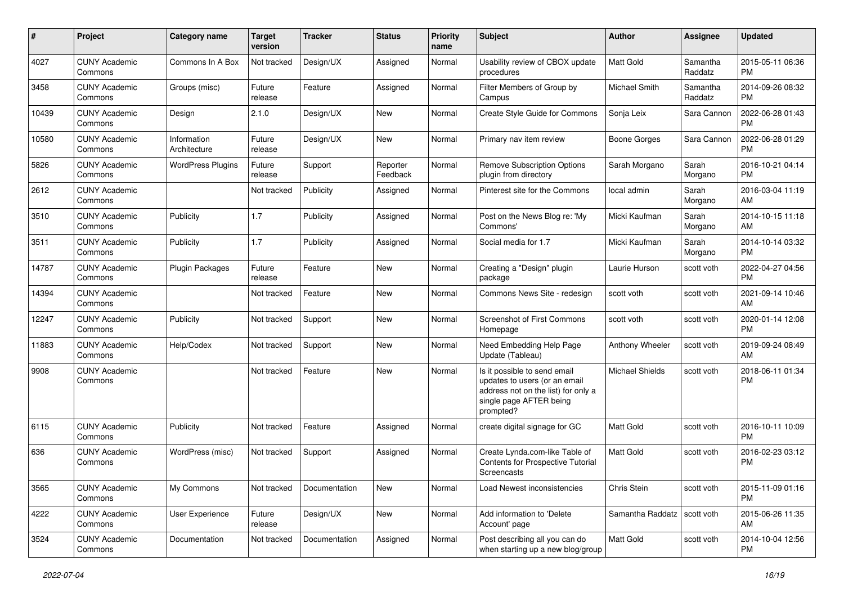| #     | Project                         | Category name               | <b>Target</b><br>version | <b>Tracker</b> | <b>Status</b>        | <b>Priority</b><br>name | <b>Subject</b>                                                                                                                               | Author                        | <b>Assignee</b>     | <b>Updated</b>                |
|-------|---------------------------------|-----------------------------|--------------------------|----------------|----------------------|-------------------------|----------------------------------------------------------------------------------------------------------------------------------------------|-------------------------------|---------------------|-------------------------------|
| 4027  | <b>CUNY Academic</b><br>Commons | Commons In A Box            | Not tracked              | Design/UX      | Assigned             | Normal                  | Usability review of CBOX update<br>procedures                                                                                                | <b>Matt Gold</b>              | Samantha<br>Raddatz | 2015-05-11 06:36<br><b>PM</b> |
| 3458  | <b>CUNY Academic</b><br>Commons | Groups (misc)               | Future<br>release        | Feature        | Assigned             | Normal                  | Filter Members of Group by<br>Campus                                                                                                         | Michael Smith                 | Samantha<br>Raddatz | 2014-09-26 08:32<br><b>PM</b> |
| 10439 | <b>CUNY Academic</b><br>Commons | Design                      | 2.1.0                    | Design/UX      | <b>New</b>           | Normal                  | Create Style Guide for Commons                                                                                                               | Sonja Leix                    | Sara Cannon         | 2022-06-28 01:43<br><b>PM</b> |
| 10580 | <b>CUNY Academic</b><br>Commons | Information<br>Architecture | Future<br>release        | Design/UX      | <b>New</b>           | Normal                  | Primary nav item review                                                                                                                      | <b>Boone Gorges</b>           | Sara Cannon         | 2022-06-28 01:29<br><b>PM</b> |
| 5826  | <b>CUNY Academic</b><br>Commons | <b>WordPress Plugins</b>    | Future<br>release        | Support        | Reporter<br>Feedback | Normal                  | <b>Remove Subscription Options</b><br>plugin from directory                                                                                  | Sarah Morgano                 | Sarah<br>Morgano    | 2016-10-21 04:14<br><b>PM</b> |
| 2612  | <b>CUNY Academic</b><br>Commons |                             | Not tracked              | Publicity      | Assigned             | Normal                  | Pinterest site for the Commons                                                                                                               | local admin                   | Sarah<br>Morgano    | 2016-03-04 11:19<br>AM        |
| 3510  | <b>CUNY Academic</b><br>Commons | Publicity                   | 1.7                      | Publicity      | Assigned             | Normal                  | Post on the News Blog re: 'My<br>Commons'                                                                                                    | Micki Kaufman                 | Sarah<br>Morgano    | 2014-10-15 11:18<br>AM        |
| 3511  | <b>CUNY Academic</b><br>Commons | Publicity                   | 1.7                      | Publicity      | Assigned             | Normal                  | Social media for 1.7                                                                                                                         | Micki Kaufman                 | Sarah<br>Morgano    | 2014-10-14 03:32<br>PM.       |
| 14787 | <b>CUNY Academic</b><br>Commons | <b>Plugin Packages</b>      | Future<br>release        | Feature        | New                  | Normal                  | Creating a "Design" plugin<br>package                                                                                                        | Laurie Hurson                 | scott voth          | 2022-04-27 04:56<br><b>PM</b> |
| 14394 | <b>CUNY Academic</b><br>Commons |                             | Not tracked              | Feature        | <b>New</b>           | Normal                  | Commons News Site - redesign                                                                                                                 | scott voth                    | scott voth          | 2021-09-14 10:46<br>AM        |
| 12247 | <b>CUNY Academic</b><br>Commons | Publicity                   | Not tracked              | Support        | <b>New</b>           | Normal                  | <b>Screenshot of First Commons</b><br>Homepage                                                                                               | scott voth                    | scott voth          | 2020-01-14 12:08<br><b>PM</b> |
| 11883 | <b>CUNY Academic</b><br>Commons | Help/Codex                  | Not tracked              | Support        | <b>New</b>           | Normal                  | Need Embedding Help Page<br>Update (Tableau)                                                                                                 | Anthony Wheeler               | scott voth          | 2019-09-24 08:49<br>AM        |
| 9908  | <b>CUNY Academic</b><br>Commons |                             | Not tracked              | Feature        | New                  | Normal                  | Is it possible to send email<br>updates to users (or an email<br>address not on the list) for only a<br>single page AFTER being<br>prompted? | <b>Michael Shields</b>        | scott voth          | 2018-06-11 01:34<br><b>PM</b> |
| 6115  | <b>CUNY Academic</b><br>Commons | Publicity                   | Not tracked              | Feature        | Assigned             | Normal                  | create digital signage for GC                                                                                                                | <b>Matt Gold</b>              | scott voth          | 2016-10-11 10:09<br><b>PM</b> |
| 636   | <b>CUNY Academic</b><br>Commons | WordPress (misc)            | Not tracked              | Support        | Assigned             | Normal                  | Create Lynda.com-like Table of<br><b>Contents for Prospective Tutorial</b><br><b>Screencasts</b>                                             | <b>Matt Gold</b>              | scott voth          | 2016-02-23 03:12<br><b>PM</b> |
| 3565  | <b>CUNY Academic</b><br>Commons | My Commons                  | Not tracked              | Documentation  | New                  | Normal                  | Load Newest inconsistencies                                                                                                                  | Chris Stein                   | scott voth          | 2015-11-09 01:16<br><b>PM</b> |
| 4222  | <b>CUNY Academic</b><br>Commons | User Experience             | Future<br>release        | Design/UX      | New                  | Normal                  | Add information to 'Delete<br>Account' page                                                                                                  | Samantha Raddatz   scott voth |                     | 2015-06-26 11:35<br>AM        |
| 3524  | <b>CUNY Academic</b><br>Commons | Documentation               | Not tracked              | Documentation  | Assigned             | Normal                  | Post describing all you can do<br>when starting up a new blog/group                                                                          | Matt Gold                     | scott voth          | 2014-10-04 12:56<br><b>PM</b> |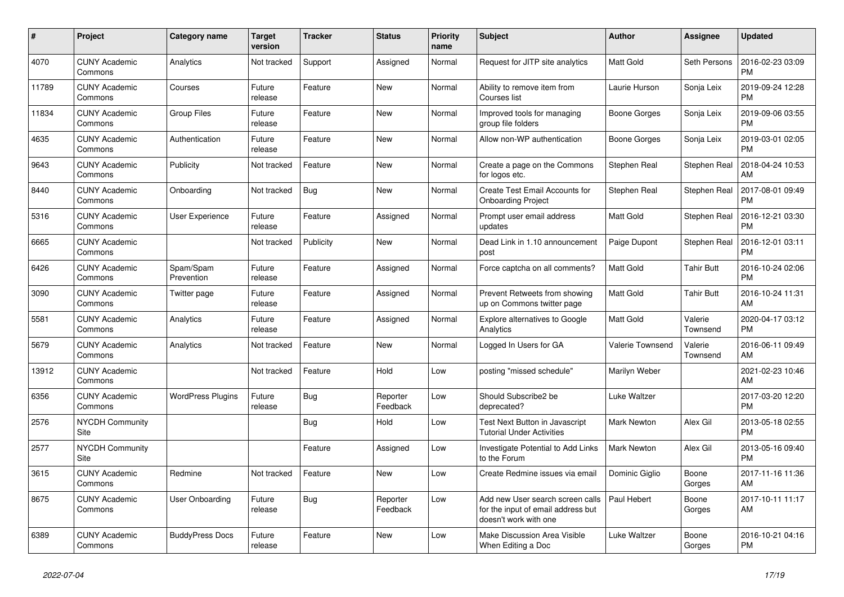| $\pmb{\sharp}$ | Project                         | <b>Category name</b>     | <b>Target</b><br>version | <b>Tracker</b> | <b>Status</b>        | <b>Priority</b><br>name | <b>Subject</b>                                                                                  | <b>Author</b>    | Assignee            | <b>Updated</b>                |
|----------------|---------------------------------|--------------------------|--------------------------|----------------|----------------------|-------------------------|-------------------------------------------------------------------------------------------------|------------------|---------------------|-------------------------------|
| 4070           | <b>CUNY Academic</b><br>Commons | Analytics                | Not tracked              | Support        | Assigned             | Normal                  | Request for JITP site analytics                                                                 | <b>Matt Gold</b> | Seth Persons        | 2016-02-23 03:09<br>PM        |
| 11789          | <b>CUNY Academic</b><br>Commons | Courses                  | Future<br>release        | Feature        | <b>New</b>           | Normal                  | Ability to remove item from<br>Courses list                                                     | Laurie Hurson    | Sonja Leix          | 2019-09-24 12:28<br><b>PM</b> |
| 11834          | <b>CUNY Academic</b><br>Commons | Group Files              | Future<br>release        | Feature        | New                  | Normal                  | Improved tools for managing<br>group file folders                                               | Boone Gorges     | Sonja Leix          | 2019-09-06 03:55<br><b>PM</b> |
| 4635           | <b>CUNY Academic</b><br>Commons | Authentication           | Future<br>release        | Feature        | New                  | Normal                  | Allow non-WP authentication                                                                     | Boone Gorges     | Sonja Leix          | 2019-03-01 02:05<br><b>PM</b> |
| 9643           | <b>CUNY Academic</b><br>Commons | Publicity                | Not tracked              | Feature        | <b>New</b>           | Normal                  | Create a page on the Commons<br>for logos etc.                                                  | Stephen Real     | Stephen Real        | 2018-04-24 10:53<br>AM        |
| 8440           | <b>CUNY Academic</b><br>Commons | Onboarding               | Not tracked              | Bug            | New                  | Normal                  | Create Test Email Accounts for<br><b>Onboarding Project</b>                                     | Stephen Real     | Stephen Real        | 2017-08-01 09:49<br><b>PM</b> |
| 5316           | <b>CUNY Academic</b><br>Commons | <b>User Experience</b>   | Future<br>release        | Feature        | Assigned             | Normal                  | Prompt user email address<br>updates                                                            | <b>Matt Gold</b> | Stephen Real        | 2016-12-21 03:30<br><b>PM</b> |
| 6665           | <b>CUNY Academic</b><br>Commons |                          | Not tracked              | Publicity      | <b>New</b>           | Normal                  | Dead Link in 1.10 announcement<br>post                                                          | Paige Dupont     | Stephen Real        | 2016-12-01 03:11<br><b>PM</b> |
| 6426           | <b>CUNY Academic</b><br>Commons | Spam/Spam<br>Prevention  | Future<br>release        | Feature        | Assigned             | Normal                  | Force captcha on all comments?                                                                  | Matt Gold        | <b>Tahir Butt</b>   | 2016-10-24 02:06<br><b>PM</b> |
| 3090           | <b>CUNY Academic</b><br>Commons | Twitter page             | Future<br>release        | Feature        | Assigned             | Normal                  | Prevent Retweets from showing<br>up on Commons twitter page                                     | Matt Gold        | <b>Tahir Butt</b>   | 2016-10-24 11:31<br><b>AM</b> |
| 5581           | <b>CUNY Academic</b><br>Commons | Analytics                | Future<br>release        | Feature        | Assigned             | Normal                  | Explore alternatives to Google<br>Analytics                                                     | Matt Gold        | Valerie<br>Townsend | 2020-04-17 03:12<br><b>PM</b> |
| 5679           | <b>CUNY Academic</b><br>Commons | Analytics                | Not tracked              | Feature        | <b>New</b>           | Normal                  | Logged In Users for GA                                                                          | Valerie Townsend | Valerie<br>Townsend | 2016-06-11 09:49<br>AM        |
| 13912          | <b>CUNY Academic</b><br>Commons |                          | Not tracked              | Feature        | Hold                 | Low                     | posting "missed schedule"                                                                       | Marilyn Weber    |                     | 2021-02-23 10:46<br><b>AM</b> |
| 6356           | <b>CUNY Academic</b><br>Commons | <b>WordPress Plugins</b> | Future<br>release        | Bug            | Reporter<br>Feedback | Low                     | Should Subscribe2 be<br>deprecated?                                                             | Luke Waltzer     |                     | 2017-03-20 12:20<br><b>PM</b> |
| 2576           | <b>NYCDH Community</b><br>Site  |                          |                          | <b>Bug</b>     | Hold                 | Low                     | <b>Test Next Button in Javascript</b><br><b>Tutorial Under Activities</b>                       | Mark Newton      | Alex Gil            | 2013-05-18 02:55<br><b>PM</b> |
| 2577           | <b>NYCDH Community</b><br>Site  |                          |                          | Feature        | Assigned             | Low                     | Investigate Potential to Add Links<br>to the Forum                                              | Mark Newton      | Alex Gil            | 2013-05-16 09:40<br><b>PM</b> |
| 3615           | <b>CUNY Academic</b><br>Commons | Redmine                  | Not tracked              | Feature        | New                  | Low                     | Create Redmine issues via email                                                                 | Dominic Giglio   | Boone<br>Gorges     | 2017-11-16 11:36<br>AM.       |
| 8675           | <b>CUNY Academic</b><br>Commons | User Onboarding          | Future<br>release        | Bug            | Reporter<br>Feedback | Low                     | Add new User search screen calls<br>for the input of email address but<br>doesn't work with one | Paul Hebert      | Boone<br>Gorges     | 2017-10-11 11:17<br>AM        |
| 6389           | <b>CUNY Academic</b><br>Commons | <b>BuddyPress Docs</b>   | Future<br>release        | Feature        | <b>New</b>           | Low                     | Make Discussion Area Visible<br>When Editing a Doc                                              | Luke Waltzer     | Boone<br>Gorges     | 2016-10-21 04:16<br>PM.       |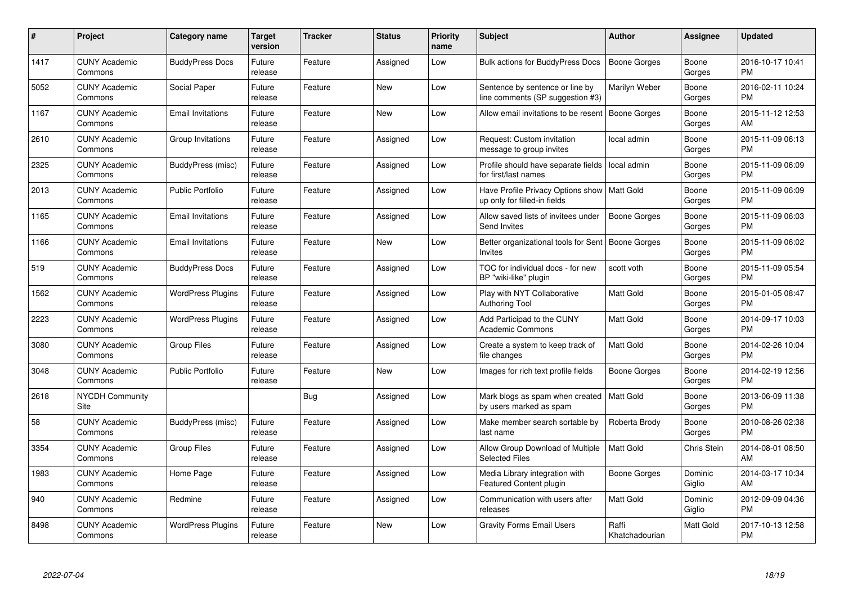| $\#$ | Project                         | <b>Category name</b>     | <b>Target</b><br>version | <b>Tracker</b> | <b>Status</b> | <b>Priority</b><br>name | <b>Subject</b>                                                                | <b>Author</b>           | Assignee          | <b>Updated</b>                |
|------|---------------------------------|--------------------------|--------------------------|----------------|---------------|-------------------------|-------------------------------------------------------------------------------|-------------------------|-------------------|-------------------------------|
| 1417 | <b>CUNY Academic</b><br>Commons | <b>BuddyPress Docs</b>   | Future<br>release        | Feature        | Assigned      | Low                     | <b>Bulk actions for BuddyPress Docs</b>                                       | <b>Boone Gorges</b>     | Boone<br>Gorges   | 2016-10-17 10:41<br><b>PM</b> |
| 5052 | <b>CUNY Academic</b><br>Commons | Social Paper             | Future<br>release        | Feature        | <b>New</b>    | Low                     | Sentence by sentence or line by<br>line comments (SP suggestion #3)           | Marilyn Weber           | Boone<br>Gorges   | 2016-02-11 10:24<br><b>PM</b> |
| 1167 | <b>CUNY Academic</b><br>Commons | <b>Email Invitations</b> | Future<br>release        | Feature        | New           | Low                     | Allow email invitations to be resent                                          | Boone Gorges            | Boone<br>Gorges   | 2015-11-12 12:53<br>AM        |
| 2610 | <b>CUNY Academic</b><br>Commons | Group Invitations        | Future<br>release        | Feature        | Assigned      | Low                     | Request: Custom invitation<br>message to group invites                        | local admin             | Boone<br>Gorges   | 2015-11-09 06:13<br><b>PM</b> |
| 2325 | <b>CUNY Academic</b><br>Commons | BuddyPress (misc)        | Future<br>release        | Feature        | Assigned      | Low                     | Profile should have separate fields<br>for first/last names                   | local admin             | Boone<br>Gorges   | 2015-11-09 06:09<br><b>PM</b> |
| 2013 | <b>CUNY Academic</b><br>Commons | <b>Public Portfolio</b>  | Future<br>release        | Feature        | Assigned      | Low                     | Have Profile Privacy Options show   Matt Gold<br>up only for filled-in fields |                         | Boone<br>Gorges   | 2015-11-09 06:09<br><b>PM</b> |
| 1165 | <b>CUNY Academic</b><br>Commons | <b>Email Invitations</b> | Future<br>release        | Feature        | Assigned      | Low                     | Allow saved lists of invitees under<br><b>Send Invites</b>                    | <b>Boone Gorges</b>     | Boone<br>Gorges   | 2015-11-09 06:03<br><b>PM</b> |
| 1166 | <b>CUNY Academic</b><br>Commons | <b>Email Invitations</b> | Future<br>release        | Feature        | New           | Low                     | Better organizational tools for Sent<br>Invites                               | Boone Gorges            | Boone<br>Gorges   | 2015-11-09 06:02<br><b>PM</b> |
| 519  | <b>CUNY Academic</b><br>Commons | <b>BuddyPress Docs</b>   | Future<br>release        | Feature        | Assigned      | Low                     | TOC for individual docs - for new<br>BP "wiki-like" plugin                    | scott voth              | Boone<br>Gorges   | 2015-11-09 05:54<br><b>PM</b> |
| 1562 | <b>CUNY Academic</b><br>Commons | <b>WordPress Plugins</b> | Future<br>release        | Feature        | Assigned      | Low                     | Play with NYT Collaborative<br><b>Authoring Tool</b>                          | <b>Matt Gold</b>        | Boone<br>Gorges   | 2015-01-05 08:47<br><b>PM</b> |
| 2223 | <b>CUNY Academic</b><br>Commons | <b>WordPress Plugins</b> | Future<br>release        | Feature        | Assigned      | Low                     | Add Participad to the CUNY<br><b>Academic Commons</b>                         | Matt Gold               | Boone<br>Gorges   | 2014-09-17 10:03<br><b>PM</b> |
| 3080 | <b>CUNY Academic</b><br>Commons | <b>Group Files</b>       | Future<br>release        | Feature        | Assigned      | Low                     | Create a system to keep track of<br>file changes                              | <b>Matt Gold</b>        | Boone<br>Gorges   | 2014-02-26 10:04<br><b>PM</b> |
| 3048 | <b>CUNY Academic</b><br>Commons | Public Portfolio         | Future<br>release        | Feature        | New           | Low                     | Images for rich text profile fields                                           | Boone Gorges            | Boone<br>Gorges   | 2014-02-19 12:56<br><b>PM</b> |
| 2618 | <b>NYCDH Community</b><br>Site  |                          |                          | <b>Bug</b>     | Assigned      | Low                     | Mark blogs as spam when created<br>by users marked as spam                    | l Matt Gold             | Boone<br>Gorges   | 2013-06-09 11:38<br><b>PM</b> |
| 58   | <b>CUNY Academic</b><br>Commons | BuddyPress (misc)        | Future<br>release        | Feature        | Assigned      | Low                     | Make member search sortable by<br>last name                                   | Roberta Brody           | Boone<br>Gorges   | 2010-08-26 02:38<br><b>PM</b> |
| 3354 | <b>CUNY Academic</b><br>Commons | <b>Group Files</b>       | Future<br>release        | Feature        | Assigned      | Low                     | Allow Group Download of Multiple<br><b>Selected Files</b>                     | <b>Matt Gold</b>        | Chris Stein       | 2014-08-01 08:50<br>AM        |
| 1983 | <b>CUNY Academic</b><br>Commons | Home Page                | Future<br>release        | Feature        | Assigned      | Low                     | Media Library integration with<br><b>Featured Content plugin</b>              | Boone Gorges            | Dominic<br>Giglio | 2014-03-17 10:34<br>AM        |
| 940  | <b>CUNY Academic</b><br>Commons | Redmine                  | Future<br>release        | Feature        | Assigned      | Low                     | Communication with users after<br>releases                                    | <b>Matt Gold</b>        | Dominic<br>Giglio | 2012-09-09 04:36<br><b>PM</b> |
| 8498 | <b>CUNY Academic</b><br>Commons | <b>WordPress Plugins</b> | Future<br>release        | Feature        | <b>New</b>    | Low                     | <b>Gravity Forms Email Users</b>                                              | Raffi<br>Khatchadourian | Matt Gold         | 2017-10-13 12:58<br>PM        |